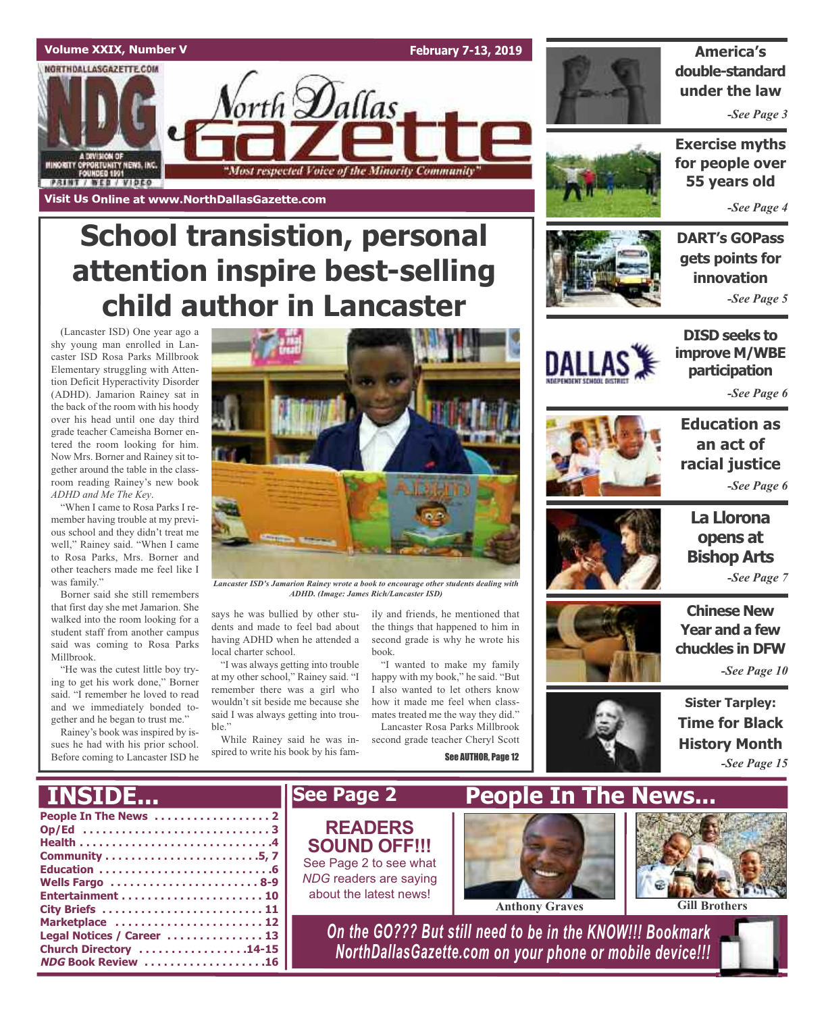

# **School transistion, personal attention inspire best-selling child author in Lancaster**

(Lancaster ISD) One year ago a shy young man enrolled in Lancaster ISD Rosa Parks Millbrook Elementary struggling with Attention Deficit Hyperactivity Disorder (ADHD). Jamarion Rainey sat in the back of the room with his hoody over his head until one day third grade teacher Cameisha Borner entered the room looking for him. Now Mrs. Borner and Rainey sit together around the table in the classroom reading Rainey's new book *ADHD and Me The Key*.

"When I came to Rosa Parks I remember having trouble at my previous school and they didn't treat me well," Rainey said. "When I came to Rosa Parks, Mrs. Borner and other teachers made me feel like I was family."

Borner said she still remembers that first day she met Jamarion. She walked into the room looking for a student staff from another campus said was coming to Rosa Parks Millbrook.

"He was the cutest little boy trying to get his work done," Borner said. "I remember he loved to read and we immediately bonded together and he began to trust me."

Rainey's book was inspired by issues he had with his prior school. Before coming to Lancaster ISD he



*Lancaster ISD's Jamarion Rainey wrote a book to encourage other students dealing with ADHD. (Image: James Rich/Lancaster ISD)*

says he was bullied by other students and made to feel bad about having ADHD when he attended a local charter school.

"I was always getting into trouble at my other school," Rainey said. "I remember there was a girl who wouldn't sit beside me because she said I was always getting into trouble."

While Rainey said he was inspired to write his book by his family and friends, he mentioned that the things that happened to him in second grade is why he wrote his book.

"I wanted to make my family happy with my book," he said. "But I also wanted to let others know how it made me feel when classmates treated me the way they did." Lancaster Rosa Parks Millbrook second grade teacher Cheryl Scott

See AUTHOR, Page 12



**DART's GOPass**

**gets points for innovation** *-See Page 5*



**DISD seeks to improve M/WBE participation**

*-See Page 6*



**Education as an act of racial justice** *-See Page 6*



**La Llorona opens at Bishop Arts** *-See Page 7*

**Chinese New Year and a few chuckles in DFW**

*-See Page 10*



**Sister Tarpley: Time for Black History Month** *-See Page 15*

| <b>INSIDE</b>                                                                                 | <b>See Page 2</b>                                                                                                      | <b>People In The News</b> |                      |
|-----------------------------------------------------------------------------------------------|------------------------------------------------------------------------------------------------------------------------|---------------------------|----------------------|
| Wells Fargo 8-9                                                                               | <b>READERS</b><br><b>SOUND OFF!!!</b><br>See Page 2 to see what<br>NDG readers are saying<br>about the latest news!    | <b>Anthony Graves</b>     | <b>Gill Brothers</b> |
| Marketplace  12<br>Legal Notices / Career  13<br>Church Directory 14-15<br>NDG Book Review 16 | On the GO??? But still need to be in the KNOW !!! Bookmark<br>NorthDallasGazette.com on your phone or mobile device!!! |                           |                      |



**America's double-standard under the law**

*-See Page 3*

**Exercise myths for people over 55 years old**

*-See Page 4*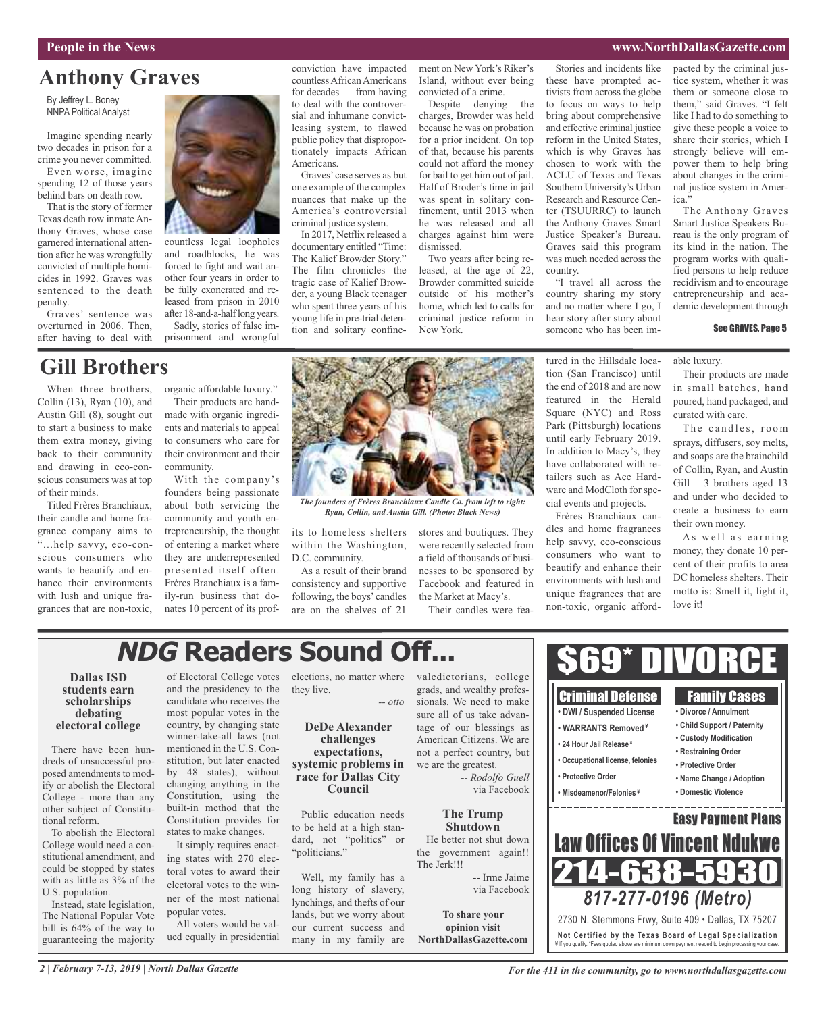### **People in the News www.NorthDallasGazette.com**

### **Anthony Graves**

By Jeffrey L. Boney NNPA Political Analyst

Imagine spending nearly two decades in prison for a crime you never committed. Even worse, imagine spending 12 of those years behind bars on death row.

That is the story of former Texas death row inmate Anthony Graves, whose case garnered international attention after he was wrongfully convicted of multiple homicides in 1992. Graves was sentenced to the death penalty.

Graves' sentence was overturned in 2006. Then, after having to deal with

When three brothers, Collin (13), Ryan (10), and Austin Gill (8), sought out to start a business to make them extra money, giving back to their community and drawing in eco-conscious consumers was at top

**Gill Brothers**

Titled Frères Branchiaux, their candle and home fragrance company aims to "…help savvy, eco-conscious consumers who wants to beautify and enhance their environments with lush and unique fragrances that are non-toxic,

of their minds.



countless legal loopholes and roadblocks, he was forced to fight and wait another four years in order to be fully exonerated and released from prison in 2010 after 18-and-a-halflong years.

Sadly, stories of false imprisonment and wrongful

organic affordable luxury." Their products are handmade with organic ingredients and materials to appeal to consumers who care for their environment and their

With the company's founders being passionate about both servicing the community and youth entrepreneurship, the thought of entering a market where they are underrepresented presented itself often. Frères Branchiaux is a family-run business that donates 10 percent of its prof-

community.

#### conviction have impacted countless African Americans for decades — from having to deal with the controversial and inhumane convictleasing system, to flawed public policy that disproportionately impacts African Americans.

Graves' case serves as but one example of the complex nuances that make up the America's controversial criminal justice system.

In 2017, Netflix released a documentary entitled "Time: The Kalief Browder Story." The film chronicles the tragic case of Kalief Browder, a young Black teenager who spent three years of his young life in pre-trial detention and solitary confinement on New York's Riker's Island, without ever being convicted of a crime.

Despite denying the charges, Browder was held because he was on probation for a prior incident. On top of that, because his parents could not afford the money for bail to get him out of jail. Half of Broder's time in jail was spent in solitary confinement, until 2013 when he was released and all charges against him were dismissed.

Two years after being released, at the age of 22, Browder committed suicide outside of his mother's home, which led to calls for criminal justice reform in New York.

Stories and incidents like these have prompted activists from across the globe to focus on ways to help bring about comprehensive and effective criminal justice reform in the United States, which is why Graves has chosen to work with the ACLU of Texas and Texas Southern University's Urban Research and Resource Center (TSUURRC) to launch the Anthony Graves Smart Justice Speaker's Bureau. Graves said this program was much needed across the country.

"I travel all across the country sharing my story and no matter where I go, I hear story after story about someone who has been im-

tured in the Hillsdale location (San Francisco) until the end of 2018 and are now featured in the Herald Square (NYC) and Ross Park (Pittsburgh) locations until early February 2019. In addition to Macy's, they have collaborated with retailers such as Ace Hardware and ModCloth for special events and projects. Frères Branchiaux candles and home fragrances help savvy, eco-conscious consumers who want to beautify and enhance their environments with lush and unique fragrances that are non-toxic, organic affordpacted by the criminal justice system, whether it was them or someone close to them," said Graves. "I felt like I had to do something to give these people a voice to share their stories, which I strongly believe will empower them to help bring about changes in the criminal justice system in America."

The Anthony Graves Smart Justice Speakers Bureau is the only program of its kind in the nation. The program works with qualified persons to help reduce recidivism and to encourage entrepreneurship and academic development through

### See GRAVES, Page 5

able luxury.

Their products are made in small batches, hand poured, hand packaged, and curated with care.

The candles, room sprays, diffusers, soy melts, and soaps are the brainchild of Collin, Ryan, and Austin Gill – 3 brothers aged 13 and under who decided to create a business to earn their own money.

As well as earning money, they donate 10 percent of their profits to area DC homeless shelters. Their motto is: Smell it, light it, love it!

Family Cases **• Divorce / Annulment**



*The founders of Frères Branchiaux Candle Co. from left to right: Ryan, Collin, and Austin Gill. (Photo: Black News)*

within the Washington, D.C. community.

As a result of their brand consistency and supportive following, the boys' candles are on the shelves of 21

its to homeless shelters stores and boutiques. They were recently selected from a field of thousands of businesses to be sponsored by Facebook and featured in the Market at Macy's.

Their candles were fea-

# **NDG Readers Sound Off...**

#### **Dallas ISD students earn scholarships debating electoral college**

There have been hundreds of unsuccessful proposed amendments to modify or abolish the Electoral College - more than any other subject of Constitutional reform.

To abolish the Electoral College would need a constitutional amendment, and could be stopped by states with as little as 3% of the U.S. population.

Instead, state legislation, The National Popular Vote bill is 64% of the way to guaranteeing the majority

and the presidency to the candidate who receives the most popular votes in the country, by changing state winner-take-all laws (not mentioned in the U.S. Constitution, but later enacted by 48 states), without changing anything in the Constitution, using the built-in method that the Constitution provides for states to make changes.

It simply requires enacting states with 270 electoral votes to award their electoral votes to the winner of the most national popular votes.

All voters would be valued equally in presidential

of Electoral College votes elections, no matter where they live. *-- otto*

### **DeDe Alexander challenges expectations, systemic problems in race for Dallas City Council**

Public education needs to be held at a high standard, not "politics" or "politicians."

Well, my family has a long history of slavery, lynchings, and thefts of our lands, but we worry about our current success and many in my family are

valedictorians, college grads, and wealthy professionals. We need to make sure all of us take advantage of our blessings as American Citizens. We are not a perfect country, but we are the greatest. *-- Rodolfo Guell*

**The Trump Shutdown** He better not shut down the government again!! The Jerk!!!

**To share your opinion visit NorthDallasGazette.com**

**• DWI / Suspended License • Child Support / Paternity • WARRANTS Removed ¥ • Custody Modification • 24 Hour Jail Release ¥ • Restraining Order • Occupational license, felonies • Protective Order • Protective Order • Name Change / Adoption** via Facebook **• Misdeamenor/Felonies ¥ • Domestic Violence** Easy Payment Plans **Law Offices Of Vincent Ndul** 214-638-5 -- Irme Jaime via Facebook *817-277-0196 (Metro)* 2730 N. Stemmons Frwy, Suite 409 • Dallas, TX 75207 **Not Ce rtified by the Te x a s Boa rd of Lega l Spe c ia l i za tion** ¥ If you qualify. \*Fees quoted above are minimum down payment needed to begin processing your case.

Criminal Defense

\$69\* DIVORCE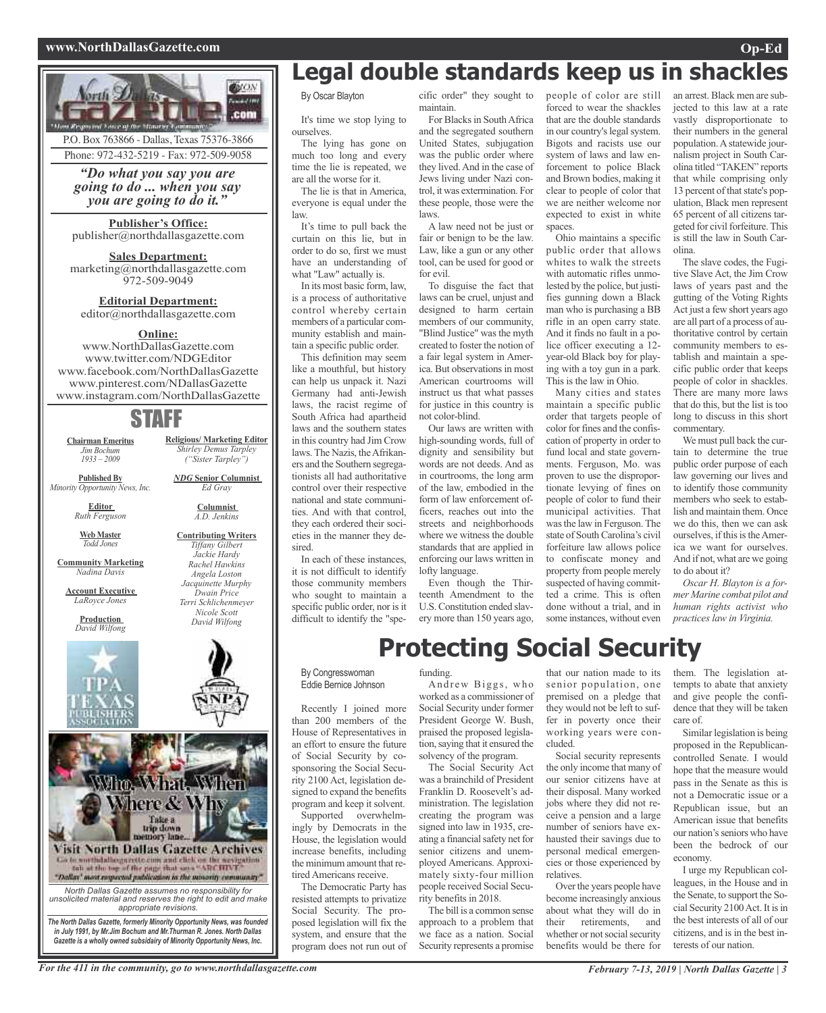### **www.NorthDallasGazette.com Op-Ed**



Phone: 972-432-5219 - Fax: 972-509-9058

*"Do what you say you are going to do ... when you say you are going to do it."*

#### **Publisher's Office:**

publisher@northdallasgazette.com

### **Sales Department:**

marketing@northdallasgazette.com 972-509-9049

### **Editorial Department:** editor@northdallasgazette.com

### **Online:**

www.NorthDallasGazette.com www.twitter.com/NDGEditor www.facebook.com/NorthDallasGazette www.pinterest.com/NDallasGazette www.instagram.com/NorthDallasGazette

### STAFF

**Chairman Emeritus** *Jim Bochum 1933 – 2009*

**Published By** *Minority Opportunity News, Inc.*

> **Editor** *Ruth Ferguson*

*Ed Gray* **Columnist**

**Religious/ Marketing Editor** *Shirley Demus Tarpley ("Sister Tarpley") NDG* **Senior Columnist**

> *A.D. Jenkins* **Contributing Writers** *Tiffany Gilbert Jackie Hardy Rachel Hawkins Angela Loston Jacquinette Murphy Dwain Price Terri Schlichenmeyer Nicole Scott David Wilfong*

**Web Master** *Todd Jones*

**Community Marketing** *Nadina Davis*

**Account Executive** *LaRoyce Jones*

> **Production** *David Wilfong*



### ory lane **Visit North Dallas Gazette Archives** Go to worth dalloogarette cam and click on the westpation<br>fab at the top of the page that same "ARCHIVE"<br>"Dallay" meet respected publication in the minority community"

Take a<br>trip down

*North Dallas Gazette assumes no responsibility for unsolicited material and reserves the right to edit and make appropriate revisions.*

*The North Dallas Gazette, formerly Minority Opportunity News, was founded in July 1991, by Mr.Jim Bochum and Mr.Thurman R. Jones. North Dallas Gazette is a wholly owned subsidairy of Minority Opportunity News, Inc.*

### **Legal double standards keep us in shackles**

By Oscar Blayton

It's time we stop lying to ourselves.

The lying has gone on much too long and every time the lie is repeated, we are all the worse for it.

The lie is that in America, everyone is equal under the law.

It's time to pull back the curtain on this lie, but in order to do so, first we must have an understanding of what "Law" actually is.

In its most basic form, law, is a process of authoritative control whereby certain members of a particular community establish and maintain a specific public order.

This definition may seem like a mouthful, but history can help us unpack it. Nazi Germany had anti-Jewish laws, the racist regime of South Africa had apartheid laws and the southern states in this country had Jim Crow laws. The Nazis, the Afrikaners and the Southern segregationists all had authoritative control over their respective national and state communities. And with that control, they each ordered their societies in the manner they desired.

In each of these instances, it is not difficult to identify those community members who sought to maintain a specific public order, nor is it difficult to identify the "specific order" they sought to maintain.

For Blacks in South Africa and the segregated southern United States, subjugation was the public order where they lived.And in the case of Jews living under Nazi control, it was extermination. For these people, those were the laws.

A law need not be just or fair or benign to be the law. Law, like a gun or any other tool, can be used for good or for evil.

To disguise the fact that laws can be cruel, unjust and designed to harm certain members of our community, "Blind Justice" was the myth created to foster the notion of a fair legal system in America. But observations in most American courtrooms will instruct us that what passes for justice in this country is not color-blind.

Our laws are written with high-sounding words, full of dignity and sensibility but words are not deeds. And as in courtrooms, the long arm of the law, embodied in the form of law enforcement officers, reaches out into the streets and neighborhoods where we witness the double standards that are applied in enforcing our laws written in lofty language.

Even though the Thirteenth Amendment to the U.S.Constitution ended slavery more than 150 years ago, people of color are still forced to wear the shackles that are the double standards in our country's legal system. Bigots and racists use our system of laws and law enforcement to police Black and Brown bodies, making it clear to people of color that we are neither welcome nor expected to exist in white spaces.

Ohio maintains a specific public order that allows whites to walk the streets with automatic rifles unmolested by the police, but justifies gunning down a Black man who is purchasing a BB rifle in an open carry state. And it finds no fault in a police officer executing a 12 year-old Black boy for playing with a toy gun in a park. This is the law in Ohio.

Many cities and states maintain a specific public order that targets people of color for fines and the confiscation of property in order to fund local and state governments. Ferguson, Mo. was proven to use the disproportionate levying of fines on people of color to fund their municipal activities. That wasthe law in Ferguson. The state of South Carolina's civil forfeiture law allows police to confiscate money and property from people merely suspected of having committed a crime. This is often done without a trial, and in some instances, without even

an arrest. Black men are subjected to this law at a rate vastly disproportionate to their numbers in the general population.Astatewide journalism project in South Carolina titled "TAKEN" reports that while comprising only 13 percent of that state's population, Black men represent 65 percent of all citizens targeted for civil forfeiture.This is still the law in South Carolina.

The slave codes, the Fugitive Slave Act, the Jim Crow laws of years past and the gutting of the Voting Rights Act just a few short years ago are all part of a process of authoritative control by certain community members to establish and maintain a specific public order that keeps people of color in shackles. There are many more laws that do this, but the list is too long to discuss in this short commentary.

We must pull back the curtain to determine the true public order purpose of each law governing our lives and to identify those community members who seek to establish and maintain them. Once we do this, then we can ask ourselves, if this is the America we want for ourselves. And if not, what are we going to do about it?

*Oscar H. Blayton is a former Marine combat pilot and human rights activist who practices law in Virginia.*

**Protecting Social Security** By Congresswoman

Eddie Bernice Johnson

Recently I joined more than 200 members of the House of Representatives in an effort to ensure the future of Social Security by cosponsoring the Social Security 2100 Act, legislation designed to expand the benefits program and keep it solvent.

Supported overwhelmingly by Democrats in the House, the legislation would increase benefits, including the minimum amount that retired Americans receive.

The Democratic Party has resisted attempts to privatize Social Security. The proposed legislation will fix the system, and ensure that the program does not run out of

#### funding.

Andrew Biggs, who worked as a commissioner of Social Security under former President George W. Bush, praised the proposed legislation,saying that it ensured the solvency of the program.

The Social Security Act was a brainchild of President Franklin D. Roosevelt's administration. The legislation creating the program was signed into law in 1935, creating a financial safety net for senior citizens and unemployed Americans. Approximately sixty-four million people received Social Security benefits in 2018.

The bill is a common sense approach to a problem that we face as a nation. Social Security represents a promise that our nation made to its senior population, one premised on a pledge that they would not be left to suffer in poverty once their working years were concluded.

Social security represents the only income that many of our senior citizens have at their disposal. Many worked jobs where they did not receive a pension and a large number of seniors have exhausted their savings due to personal medical emergencies or those experienced by relatives.

Over the years people have become increasingly anxious about what they will do in<br>their retirements, and retirements, whether or not social security benefits would be there for

them. The legislation attempts to abate that anxiety and give people the confidence that they will be taken care of.

Similar legislation is being proposed in the Republicancontrolled Senate. I would hope that the measure would pass in the Senate as this is not a Democratic issue or a Republican issue, but an American issue that benefits our nation's seniors who have been the bedrock of our economy.

I urge my Republican colleagues, in the House and in the Senate, to support the Social Security 2100 Act. It is in the best interests of all of our citizens, and is in the best interests of our nation.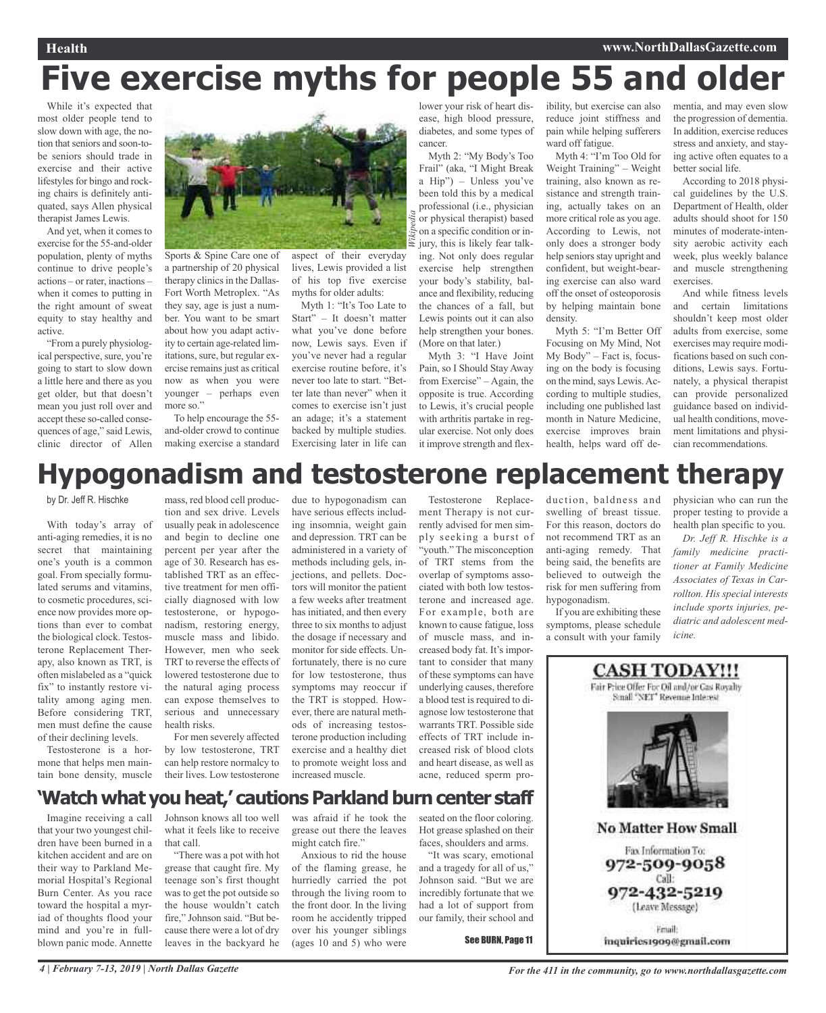# **Five exercise myths for people 55 and older**

*Wikipedia*

While it's expected that most older people tend to slow down with age, the notion that seniors and soon-tobe seniors should trade in exercise and their active lifestyles for bingo and rocking chairs is definitely antiquated, says Allen physical therapist James Lewis.

And yet, when it comes to exercise for the 55-and-older population, plenty of myths continue to drive people's actions – or rater, inactions – when it comes to putting in the right amount of sweat equity to stay healthy and active.

"From a purely physiological perspective, sure, you're going to start to slow down a little here and there as you get older, but that doesn't mean you just roll over and accept these so-called consequences of age," said Lewis, clinic director of Allen



Sports & Spine Care one of a partnership of 20 physical therapy clinics in the Dallas-Fort Worth Metroplex. "As they say, age is just a number. You want to be smart about how you adapt activity to certain age-related limitations, sure, but regular exercise remains just as critical now as when you were younger – perhaps even more so."

To help encourage the 55 and-older crowd to continue making exercise a standard

aspect of their everyday lives, Lewis provided a list of his top five exercise myths for older adults:

Myth 1: "It's Too Late to Start" – It doesn't matter what you've done before now, Lewis says. Even if you've never had a regular exercise routine before, it's never too late to start. "Better late than never" when it comes to exercise isn't just an adage; it's a statement backed by multiple studies. Exercising later in life can

lower your risk of heart disease, high blood pressure, diabetes, and some types of cancer.

Myth 2: "My Body's Too Frail" (aka, "I Might Break a Hip") – Unless you've been told this by a medical professional (i.e., physician or physical therapist) based on a specific condition or injury, this is likely fear talking. Not only does regular exercise help strengthen your body's stability, balance and flexibility, reducing the chances of a fall, but Lewis points out it can also help strengthen your bones. (More on that later.)

Myth 3: "I Have Joint Pain, so I Should Stay Away from Exercise" – Again, the opposite is true. According to Lewis, it's crucial people with arthritis partake in regular exercise. Not only does it improve strength and flex-

ibility, but exercise can also reduce joint stiffness and pain while helping sufferers ward off fatigue.

Myth 4: "I'm Too Old for Weight Training" – Weight training, also known as resistance and strength training, actually takes on an more critical role as you age. According to Lewis, not only does a stronger body help seniors stay upright and confident, but weight-bearing exercise can also ward off the onset of osteoporosis by helping maintain bone density.

Myth 5: "I'm Better Off Focusing on My Mind, Not My Body" – Fact is, focusing on the body is focusing on the mind, says Lewis. According to multiple studies, including one published last month in Nature Medicine, exercise improves brain health, helps ward off dementia, and may even slow the progression of dementia. In addition, exercise reduces stress and anxiety, and staying active often equates to a better social life.

According to 2018 physical guidelines by the U.S. Department of Health, older adults should shoot for 150 minutes of moderate-intensity aerobic activity each week, plus weekly balance and muscle strengthening exercises.

And while fitness levels and certain limitations shouldn't keep most older adults from exercise, some exercises may require modifications based on such conditions, Lewis says. Fortunately, a physical therapist can provide personalized guidance based on individual health conditions, movement limitations and physician recommendations.

# **Hypogonadism and testosterone replacement therapy**

by Dr. Jeff R. Hischke

With today's array of anti-aging remedies, it is no secret that maintaining one's youth is a common goal. From specially formulated serums and vitamins, to cosmetic procedures, science now provides more options than ever to combat the biological clock. Testosterone Replacement Therapy, also known as TRT, is often mislabeled as a "quick fix" to instantly restore vitality among aging men. Before considering TRT, men must define the cause of their declining levels.

Testosterone is a hormone that helps men maintain bone density, muscle

mass, red blood cell production and sex drive. Levels usually peak in adolescence and begin to decline one percent per year after the age of 30. Research has established TRT as an effective treatment for men officially diagnosed with low testosterone, or hypogonadism, restoring energy, muscle mass and libido. However, men who seek TRT to reverse the effects of lowered testosterone due to the natural aging process can expose themselves to serious and unnecessary health risks. For men severely affected

by low testosterone, TRT can help restore normalcy to their lives. Low testosterone

due to hypogonadism can have serious effects including insomnia, weight gain and depression. TRT can be administered in a variety of methods including gels, injections, and pellets. Doctors will monitor the patient a few weeks after treatment has initiated, and then every three to six months to adjust the dosage if necessary and monitor for side effects. Unfortunately, there is no cure for low testosterone, thus symptoms may reoccur if the TRT is stopped. However, there are natural methods of increasing testosterone production including exercise and a healthy diet to promote weight loss and increased muscle.

Testosterone Replacement Therapy is not currently advised for men simply seeking a burst of "youth." The misconception of TRT stems from the overlap of symptoms associated with both low testosterone and increased age. For example, both are known to cause fatigue, loss of muscle mass, and increased body fat. It's important to consider that many of these symptoms can have underlying causes, therefore a blood test is required to diagnose low testosterone that warrants TRT. Possible side effects of TRT include increased risk of blood clots and heart disease, as well as acne, reduced sperm production, baldness and swelling of breast tissue. For this reason, doctors do not recommend TRT as an anti-aging remedy. That being said, the benefits are believed to outweigh the risk for men suffering from hypogonadism.

If you are exhibiting these symptoms, please schedule a consult with your family physician who can run the proper testing to provide a health plan specific to you.

*Dr. Jeff R. Hischke is a family medicine practitioner at Family Medicine Associates of Texas in Carrollton. His special interests include sports injuries, pediatric and adolescent medicine.*



### **'Watch what youheat, ' cautionsParklandburncenter staff**

Imagine receiving a call that your two youngest children have been burned in a kitchen accident and are on their way to Parkland Memorial Hospital's Regional Burn Center. As you race toward the hospital a myriad of thoughts flood your mind and you're in fullblown panic mode. Annette Johnson knows all too well what it feels like to receive that call.

"There was a pot with hot grease that caught fire. My teenage son's first thought was to get the pot outside so the house wouldn't catch fire," Johnson said. "But because there were a lot of dry leaves in the backyard he

was afraid if he took the grease out there the leaves might catch fire."

Anxious to rid the house of the flaming grease, he hurriedly carried the pot through the living room to the front door. In the living room he accidently tripped over his younger siblings (ages 10 and 5) who were

seated on the floor coloring. Hot grease splashed on their faces, shoulders and arms.

"It was scary, emotional and a tragedy for all of us," Johnson said. "But we are incredibly fortunate that we had a lot of support from our family, their school and

See BURN, Page 11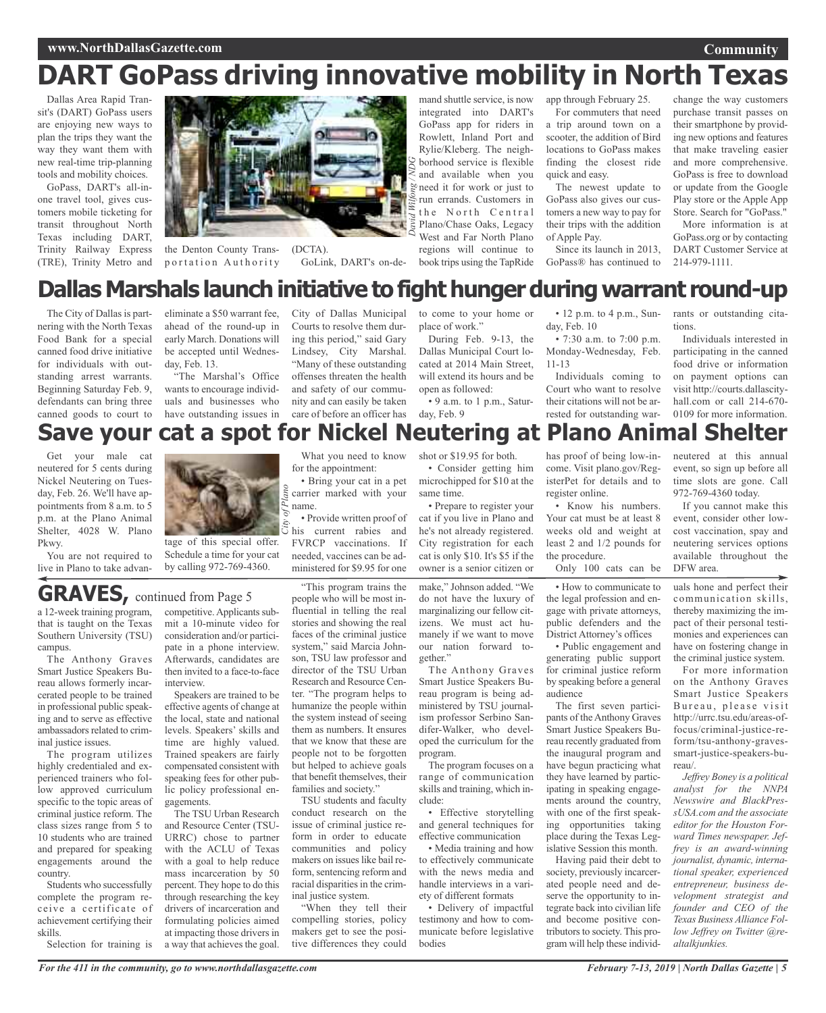# **DART GoPass driving innovative mobility in North Texas**

Dallas Area Rapid Transit's (DART) GoPass users are enjoying new ways to plan the trips they want the way they want them with new real-time trip-planning tools and mobility choices.

GoPass, DART's all-inone travel tool, gives customers mobile ticketing for transit throughout North Texas including DART, Trinity Railway Express (TRE), Trinity Metro and



the Denton County Transportation Authority

(DCTA). GoLink, DART's on-de-

mand shuttle service, is now integrated into DART's GoPass app for riders in Rowlett, Inland Port and Rylie/Kleberg. The neighborhood service is flexible and available when you need it for work or just to run errands. Customers in the North Central Plano/Chase Oaks, Legacy West and Far North Plano regions will continue to book trips using the TapRide app through February 25.

For commuters that need a trip around town on a scooter, the addition of Bird locations to GoPass makes finding the closest ride quick and easy.

The newest update to GoPass also gives our customers a new way to pay for their trips with the addition of Apple Pay.

Since its launch in 2013, GoPass® has continued to

change the way customers purchase transit passes on their smartphone by providing new options and features that make traveling easier and more comprehensive. GoPass is free to download or update from the Google Play store or the Apple App Store. Search for "GoPass."

More information is at GoPass.org or by contacting DART Customer Service at 214-979-1111.

### **Dallas Marshals launch initiative to fight hunger during warrant round-up**

The City of Dallas is partnering with the North Texas Food Bank for a special canned food drive initiative for individuals with outstanding arrest warrants. Beginning Saturday Feb. 9, defendants can bring three canned goods to court to

eliminate a \$50 warrant fee, ahead of the round-up in early March. Donations will be accepted until Wednesday, Feb. 13.

"The Marshal's Office wants to encourage individuals and businesses who have outstanding issues in

City of Dallas Municipal Courts to resolve them during this period," said Gary Lindsey, City Marshal. "Many of these outstanding offenses threaten the health and safety of our community and can easily be taken care of before an officer has

to come to your home or place of work." During Feb. 9-13, the Dallas Municipal Court lo-

cated at 2014 Main Street, will extend its hours and be open as followed: • 9 a.m. to 1 p.m., Satur-

day, Feb. 9

• 12 p.m. to 4 p.m., Sunday, Feb. 10

• 7:30 a.m. to 7:00 p.m. Monday-Wednesday, Feb. 11-13

Individuals coming to Court who want to resolve their citations will not be arrested for outstanding warrants or outstanding citations.

Individuals interested in participating in the canned food drive or information on payment options can visit http://courts.dallascityhall.com or call 214-670- 0109 for more information.

# **Save your cat a spot for Nickel Neutering at Plano Animal Shelter**

Get your male cat neutered for 5 cents during Nickel Neutering on Tuesday, Feb. 26. We'll have appointments from 8 a.m. to 5 p.m. at the Plano Animal Shelter, 4028 W. Plano Pkwy.

You are not required to live in Plano to take advan-



tage of this special offer. Schedule a time for your cat by calling 972-769-4360.

a 12-week training program, **GRAVES,** continued from Page <sup>5</sup>

that is taught on the Texas Southern University (TSU) campus.

The Anthony Graves Smart Justice Speakers Bureau allows formerly incarcerated people to be trained in professional public speaking and to serve as effective ambassadors related to criminal justice issues.

The program utilizes highly credentialed and experienced trainers who follow approved curriculum specific to the topic areas of criminal justice reform. The class sizes range from 5 to 10 students who are trained and prepared for speaking engagements around the country.

Students who successfully complete the program receive a certificate of achievement certifying their skills.

Selection for training is

competitive. Applicants submit a 10-minute video for consideration and/or participate in a phone interview. Afterwards, candidates are then invited to a face-to-face interview.

Speakers are trained to be effective agents of change at the local, state and national levels. Speakers' skills and time are highly valued. Trained speakers are fairly compensated consistent with speaking fees for other public policy professional engagements.

The TSU Urban Research and Resource Center (TSU-URRC) chose to partner with the ACLU of Texas with a goal to help reduce mass incarceration by 50 percent. They hope to do this through researching the key drivers of incarceration and formulating policies aimed at impacting those drivers in a way that achieves the goal.

for the appointment: • Bring your cat in a pet

What you need to know

carrier marked with your name. • Provide written proof of his current rabies and FVRCP vaccinations. If needed, vaccines can be ad-

ministered for \$9.95 for one

"This program trains the people who will be most influential in telling the real stories and showing the real faces of the criminal justice system," said Marcia Johnson, TSU law professor and director of the TSU Urban Research and Resource Center. "The program helps to humanize the people within the system instead of seeing them as numbers. It ensures that we know that these are people not to be forgotten but helped to achieve goals that benefit themselves, their families and society."

TSU students and faculty conduct research on the issue of criminal justice reform in order to educate communities and policy makers on issues like bail reform, sentencing reform and racial disparities in the criminal justice system.

"When they tell their compelling stories, policy makers get to see the positive differences they could shot or \$19.95 for both. • Consider getting him

microchipped for \$10 at the same time. • Prepare to register your cat if you live in Plano and he's not already registered. City registration for each cat is only \$10. It's \$5 if the

make," Johnson added. "We do not have the luxury of marginalizing our fellow citizens. We must act humanely if we want to move our nation forward together." owner is a senior citizen or

The Anthony Graves Smart Justice Speakers Bureau program is being administered by TSU journalism professor Serbino Sandifer-Walker, who developed the curriculum for the program.

The program focuses on a range of communication skills and training, which include:

• Effective storytelling and general techniques for effective communication

• Media training and how to effectively communicate with the news media and handle interviews in a variety of different formats

• Delivery of impactful testimony and how to communicate before legislative bodies

has proof of being low-income. Visit plano.gov/RegisterPet for details and to register online.

• Know his numbers. Your cat must be at least 8 weeks old and weight at least 2 and 1/2 pounds for the procedure.

Only 100 cats can be

• How to communicate to the legal profession and engage with private attorneys, public defenders and the District Attorney's offices

• Public engagement and generating public support for criminal justice reform by speaking before a general audience

The first seven participants of the Anthony Graves Smart Justice Speakers Bureau recently graduated from the inaugural program and have begun practicing what they have learned by participating in speaking engagements around the country, with one of the first speaking opportunities taking place during the Texas Legislative Session this month.

Having paid their debt to society, previously incarcerated people need and deserve the opportunity to integrate back into civilian life and become positive contributors to society. This program will help these individneutered at this annual event, so sign up before all time slots are gone. Call 972-769-4360 today.

If you cannot make this event, consider other lowcost vaccination, spay and neutering services options available throughout the DFW area.

uals hone and perfect their communication skills, thereby maximizing the impact of their personal testimonies and experiences can have on fostering change in the criminal justice system.

For more information on the Anthony Graves Smart Justice Speakers Bureau, please visit http://urrc.tsu.edu/areas-offocus/criminal-justice-reform/tsu-anthony-gravessmart-justice-speakers-bureau/.

*Jeffrey Boney is a political analyst for the NNPA Newswire and BlackPressUSA.com and the associate editor for the Houston Forward Times newspaper. Jeffrey is an award-winning journalist, dynamic, international speaker, experienced entrepreneur, business development strategist and founder and CEO of the Texas Business Alliance Follow Jeffrey on Twitter @realtalkjunkies.*

**Community**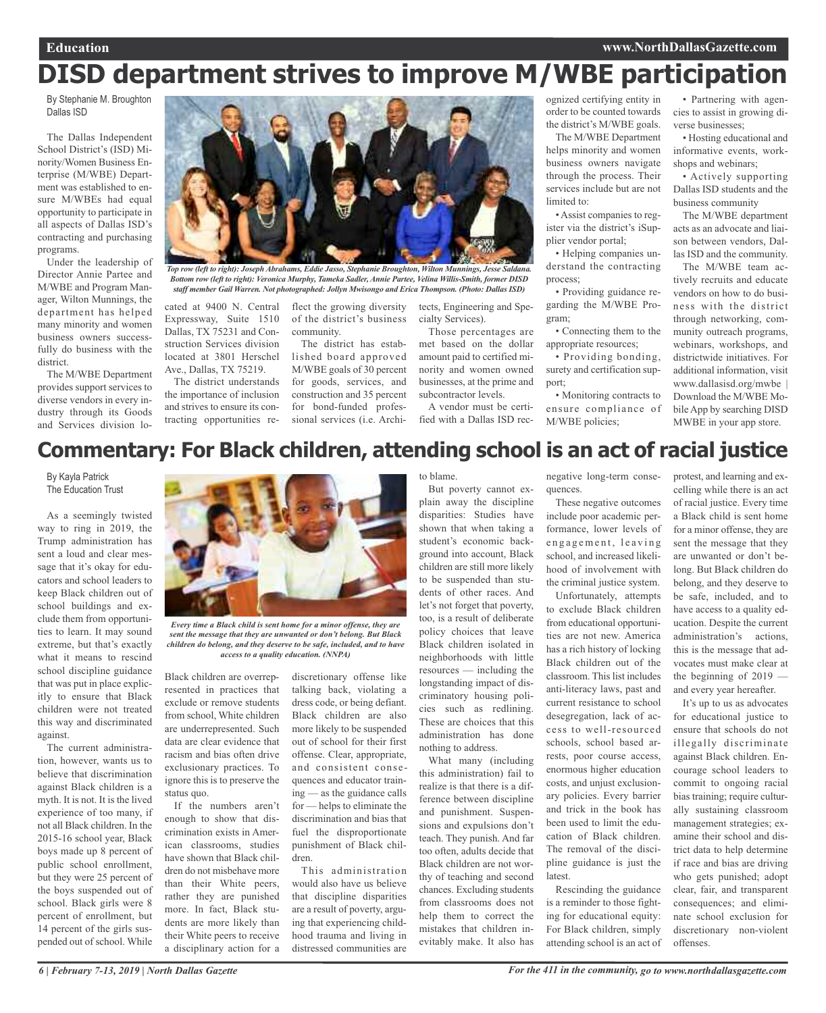# **DISD department strives to improve M/WBE participation**

By Stephanie M. Broughton Dallas ISD

The Dallas Independent School District's (ISD) Minority/Women Business Enterprise (M/WBE) Department was established to ensure M/WBEs had equal opportunity to participate in all aspects of Dallas ISD's contracting and purchasing programs.

Under the leadership of Director Annie Partee and M/WBE and Program Manager, Wilton Munnings, the department has helped many minority and women business owners successfully do business with the district.

The M/WBE Department provides support services to diverse vendors in every industry through its Goods and Services division lo-



*Top row (left to right): Joseph Abrahams, Eddie Jasso, Stephanie Broughton, Wilton Munnings, Jesse Saldana. Bottom row (left to right): Veronica Murphy, Tameka Sadler, Annie Partee, Velina Willis-Smith, former DISD staff member Gail Warren. Not photographed: Jollyn Mwisongo and Erica Thompson. (Photo: Dallas ISD)*

cated at 9400 N. Central Expressway, Suite 1510 Dallas, TX 75231 and Construction Services division located at 3801 Herschel Ave., Dallas, TX 75219.

The district understands the importance of inclusion and strives to ensure its contracting opportunities re-

flect the growing diversity of the district's business community.

The district has established board approved M/WBE goals of 30 percent for goods, services, and construction and 35 percent for bond-funded professional services (i.e. Archi-

tects, Engineering and Specialty Services). Those percentages are

met based on the dollar amount paid to certified minority and women owned businesses, at the prime and subcontractor levels.

A vendor must be certified with a Dallas ISD rec-

ognized certifying entity in order to be counted towards the district's M/WBE goals.

The M/WBE Department helps minority and women business owners navigate through the process. Their services include but are not limited to:

• Assist companies to register via the district's iSupplier vendor portal;

• Helping companies understand the contracting process;

• Providing guidance regarding the M/WBE Program;

• Connecting them to the appropriate resources;

• Providing bonding, surety and certification support;

• Monitoring contracts to ensure compliance of M/WBE policies;

• Partnering with agencies to assist in growing diverse businesses;

• Hosting educational and informative events, workshops and webinars;

• Actively supporting Dallas ISD students and the business community

The M/WBE department acts as an advocate and liaison between vendors, Dallas ISD and the community.

The M/WBE team actively recruits and educate vendors on how to do business with the district through networking, community outreach programs, webinars, workshops, and districtwide initiatives. For additional information, visit www.dallasisd.org/mwbe | Download the M/WBE Mobile App by searching DISD MWBE in your app store.

### **Commentary: For Black children, attending school is an act of racial justice**

By Kayla Patrick The Education Trust

As a seemingly twisted way to ring in 2019, the Trump administration has sent a loud and clear message that it's okay for educators and school leaders to keep Black children out of school buildings and exclude them from opportunities to learn. It may sound extreme, but that's exactly what it means to rescind school discipline guidance that was put in place explicitly to ensure that Black children were not treated this way and discriminated against.

The current administration, however, wants us to believe that discrimination against Black children is a myth. It is not. It is the lived experience of too many, if not all Black children. In the 2015-16 school year, Black boys made up 8 percent of public school enrollment, but they were 25 percent of the boys suspended out of school. Black girls were 8 percent of enrollment, but 14 percent of the girls suspended out of school. While



*Every time a Black child is sent home for a minor offense, they are sent the message that they are unwanted or don't belong. But Black children do belong, and they deserve to be safe, included, and to have access to a quality education. (NNPA)*

Black children are overrepresented in practices that exclude or remove students from school, White children are underrepresented. Such data are clear evidence that racism and bias often drive exclusionary practices. To ignore this is to preserve the status quo.

If the numbers aren't enough to show that discrimination exists in American classrooms, studies have shown that Black children do not misbehave more than their White peers, rather they are punished more. In fact, Black students are more likely than their White peers to receive a disciplinary action for a

discretionary offense like talking back, violating a dress code, or being defiant. Black children are also more likely to be suspended out of school for their first offense. Clear, appropriate, and consistent consequences and educator training — as the guidance calls for — helps to eliminate the discrimination and bias that fuel the disproportionate punishment of Black children.

This administration would also have us believe that discipline disparities are a result of poverty, arguing that experiencing childhood trauma and living in distressed communities are to blame.

But poverty cannot explain away the discipline disparities: Studies have shown that when taking a student's economic background into account, Black children are still more likely to be suspended than students of other races. And let's not forget that poverty, too, is a result of deliberate policy choices that leave Black children isolated in neighborhoods with little resources — including the longstanding impact of discriminatory housing policies such as redlining. These are choices that this administration has done nothing to address.

What many (including this administration) fail to realize is that there is a difference between discipline and punishment. Suspensions and expulsions don't teach. They punish. And far too often, adults decide that Black children are not worthy of teaching and second chances. Excluding students from classrooms does not help them to correct the mistakes that children inevitably make. It also has

negative long-term consequences.

These negative outcomes include poor academic performance, lower levels of engagement, leaving school, and increased likelihood of involvement with the criminal justice system.

Unfortunately, attempts to exclude Black children from educational opportunities are not new. America has a rich history of locking Black children out of the classroom. This list includes anti-literacy laws, past and current resistance to school desegregation, lack of access to well-resourced schools, school based arrests, poor course access, enormous higher education costs, and unjust exclusionary policies. Every barrier and trick in the book has been used to limit the education of Black children. The removal of the discipline guidance is just the latest.

Rescinding the guidance is a reminder to those fighting for educational equity: For Black children, simply attending school is an act of

protest, and learning and excelling while there is an act of racial justice. Every time a Black child is sent home for a minor offense, they are sent the message that they are unwanted or don't belong. But Black children do belong, and they deserve to be safe, included, and to have access to a quality education. Despite the current administration's actions, this is the message that advocates must make clear at the beginning of 2019 and every year hereafter.

It's up to us as advocates for educational justice to ensure that schools do not illegally discriminate against Black children. Encourage school leaders to commit to ongoing racial bias training; require culturally sustaining classroom management strategies; examine their school and district data to help determine if race and bias are driving who gets punished; adopt clear, fair, and transparent consequences; and eliminate school exclusion for discretionary non-violent offenses.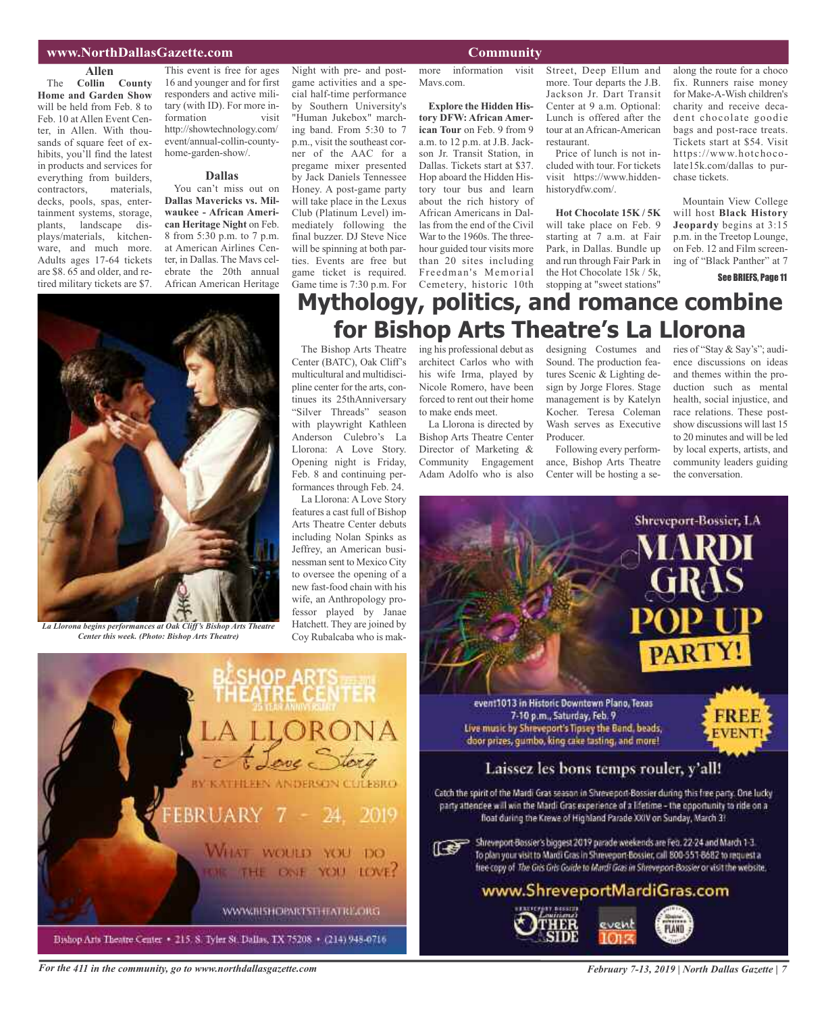### **www.NorthDallasGazette.com Community**

### **Allen**

The **Collin County Home and Garden Show** will be held from Feb. 8 to Feb. 10 at Allen Event Center, in Allen. With thousands of square feet of exhibits, you'll find the latest in products and services for everything from builders, contractors, materials, decks, pools, spas, entertainment systems, storage, plants, landscape displays/materials, kitchenware, and much more. Adults ages 17-64 tickets are \$8. 65 and older, and retired military tickets are \$7.

This event is free for ages 16 and younger and for first responders and active military (with ID). For more information visit http://showtechnology.com/ event/annual-collin-countyhome-garden-show/.

#### **Dallas**

You can't miss out on **Dallas Mavericks vs. Milwaukee - African American Heritage Night** on Feb. 8 from 5:30 p.m. to 7 p.m. at American Airlines Center, in Dallas. The Mavs celebrate the 20th annual African American Heritage

Night with pre- and postgame activities and a special half-time performance by Southern University's "Human Jukebox" marching band. From 5:30 to 7 p.m., visit the southeast corner of the AAC for a pregame mixer presented by Jack Daniels Tennessee Honey. A post-game party will take place in the Lexus Club (Platinum Level) immediately following the final buzzer. DJ Steve Nice will be spinning at both parties. Events are free but game ticket is required. Game time is 7:30 p.m. For more information visit Mavs.com.

**Explore the Hidden History DFW: African American Tour** on Feb. 9 from 9 a.m. to 12 p.m. at J.B. Jackson Jr. Transit Station, in Dallas. Tickets start at \$37. Hop aboard the Hidden History tour bus and learn about the rich history of African Americans in Dallas from the end of the Civil War to the 1960s. The threehour guided tour visits more than 20 sites including Freedman's Memorial Cemetery, historic 10th stopping at "sweet stations"

Street, Deep Ellum and more. Tour departs the J.B. Jackson Jr. Dart Transit Center at 9 a.m. Optional: Lunch is offered after the tour at an African-American restaurant.

Price of lunch is not included with tour. For tickets visit https://www.hiddenhistorydfw.com/.

**Hot Chocolate 15K / 5K** will take place on Feb. 9 starting at 7 a.m. at Fair Park, in Dallas. Bundle up and run through Fair Park in the Hot Chocolate 15k / 5k,

along the route for a choco fix. Runners raise money for Make-A-Wish children's charity and receive decadent chocolate goodie bags and post-race treats. Tickets start at \$54. Visit https://www.hotchocolate15k.com/dallas to purchase tickets.

Mountain View College will host **Black History Jeopardy** begins at 3:15 p.m. in the Treetop Lounge, on Feb. 12 and Film screening of "Black Panther" at 7

See BRIEFS, Page 11



*Center this week. (Photo: Bishop Arts Theatre)*

### **Mythology, politics, and romance combine for Bishop Arts Theatre's La Llorona**

The Bishop Arts Theatre Center (BATC), Oak Cliff's multicultural and multidiscipline center for the arts, continues its 25thAnniversary "Silver Threads" season with playwright Kathleen Anderson Culebro's La Llorona: A Love Story. Opening night is Friday, Feb. 8 and continuing performances through Feb. 24.

La Llorona: A Love Story features a cast full of Bishop Arts Theatre Center debuts including Nolan Spinks as Jeffrey, an American businessman sent to Mexico City to oversee the opening of a new fast-food chain with his wife, an Anthropology professor played by Janae Hatchett. They are joined by Coy Rubalcaba who is mak-

YOU DO

YOU LOVE:

BY KATHEEPS ANDERSON COLESRO

**WOULD** 

**DNE** 

WWW.BISHOPARTSTHRATRE.ORG

ing his professional debut as architect Carlos who with his wife Irma, played by Nicole Romero, have been forced to rent out their home to make ends meet. La Llorona is directed by designing Costumes and Sound. The production features Scenic & Lighting design by Jorge Flores. Stage management is by Katelyn Kocher. Teresa Coleman Wash serves as Executive

Bishop Arts Theatre Center Director of Marketing & Community Engagement Adam Adolfo who is also Producer. Following every performance, Bishop Arts Theatre Center will be hosting a series of "Stay & Say's"; audience discussions on ideas and themes within the production such as mental health, social injustice, and race relations. These postshow discussions will last 15 to 20 minutes and will be led by local experts, artists, and community leaders guiding the conversation.



For the 411 in the community, go to www.northdallasgazette.com February 7-13, 2019 | North Dallas Gazette | 7

**EBRUAR** 

Bishop Arts Theatre Center . 215, S. Tyler St. Dallas, TX 75208 . (214) 948-0716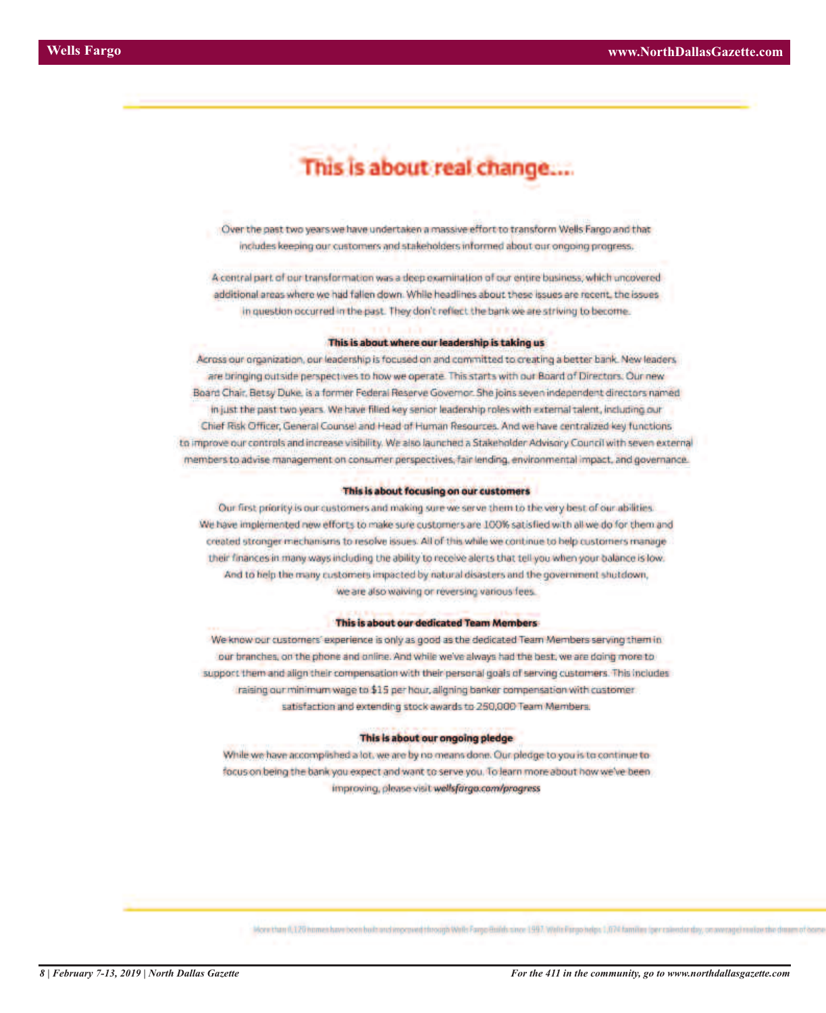# This is about real change....

Over the past two years we have undertaken a massive effort to transform Wells Fargo and that includes keeping our customers and stakeholders informed about our ongoing progress.

A central part of our transformation was a deep examination of our entire business; which uncovered additional areas where we had fallen down. While headlines about these issues are recent, the issues in question occurred in the past. They don't reflect the bank we are striving to become.

#### This is about where our leadership is taking us

Across our organization, our leadership is focused on and committed to creating a better bank. New leaders are bringing outside perspectives to how we operate. This starts with our Board of Directors. Our new Board Chair, Betsy Duke, is a former Federal Reserve Governor. She joins seven independent directors named in just the past two years. We have filled key senior leadership roles with external talent, including our Chief Risk Officer, General Counsel and Head of Human Resources. And we have centralized key functions. to improve our controls and increase visibility. We also launched a Stakeholder Advisory Council with seven external members to advise management on consumer perspectives, fair lending, environmental impact, and governance.

#### This is about focusing on our customers

Our first priority is our customers and making sure we serve them to the very best of our abilities. We have implemented new efforts to make sure customers are 100% satisfied with all we do for them and created stronger mechanisms to resolve issues. All of this while we continue to help customers manage their finances in many ways including the ability to receive alerts that tell you when your balance is low. And to help the many customers impacted by natural disasters and the government shutdown, we are also waiving or reversing various fees.

#### This is about our dedicated Team Members

We know our customers' experience is only as good as the dedicated Team Members serving them in our branches, on the phone and online. And while we've always had the best, we are doing more to support them and align their compensation with their personal goals of serving customers. This includes raising our minimum wage to \$15 per hour, aligning banker compensation with customer satisfaction and extending stock awards to 250,000 Team Members.

### This is about our ongoing pledge

While we have accomplished a lot, we are by no means done. Our pledge to you is to continue to focus on being the bank you expect and want to serve you. To learn more about how we've been. improving, please visit wellsfargo.com/progress

More than 0,120 homes have been built and improved through Write Fargo Builds since 1997. Write Fargo helps 1,074 families (per calendarday, on average) multies the dream of box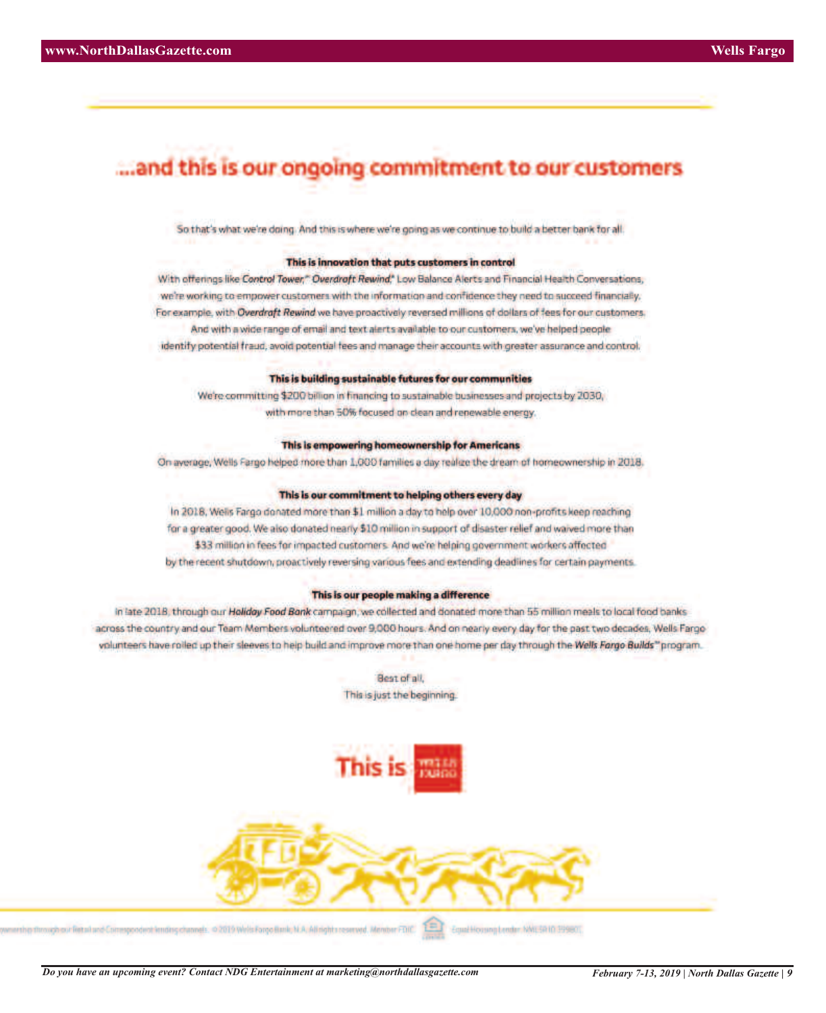### ...and this is our ongoing commitment to our customers

So that's what we're doing. And this is where we're going as we continue to build a better bank for all.

### This is innovation that puts customers in control

With offerings like Control Tower," Overdroft Rewind," Low Balance Alerts and Financial Health Conversations, we're working to empower customers with the information and confidence they need to succeed financially. For example, with Overdraft Rewind we have proactively reversed millions of dollars of fees for our customers. And with a wide range of email and text alerts available to our customers, we've helped people identify potential fraud, avoid potential fees and manage their accounts with greater assurance and control.

### This is building sustainable futures for our communities

We're committing \$200 billion in financing to sustainable businesses and projects by 2030, with more than 50% focused on clean and renewable energy.

### This is empowering homeownership for Americans

On average, Wells Fargo helped more than 1,000 families a day realize the dream of homeownership in 2018.

### This is our commitment to helping others every day

In 2018, Wells Fargo donated more than \$1 million a day to help over 10,000 non-profits keep reaching for a greater good. We also donated nearly \$10 million in support of disaster relief and waived more than \$33 million in fees for impacted customers. And we're helping government workers affected by the recent shutdown, proactively reversing various fees and extending deadlines for certain payments.

### This is our people making a difference

in late 2018, through our Holiday Food Bonk campaign, we collected and donated more than 55 million meals to local food banks across the country and our Team Members volunteered over 9,000 hours. And on nearly every day for the past two decades, Wells Fargo volunteers have rolled up their sleeves to help build and improve more than one home per day through the Wells Forgo Builds" program.

> Best of all, This is just the beginning.





the through our fietal and Comespondent lending channels. © 2019 Wells Forgo fiscle, N.A. All rights reserved. Member FDIC.

Equal Housing Leader, NWL5R1D 39980T.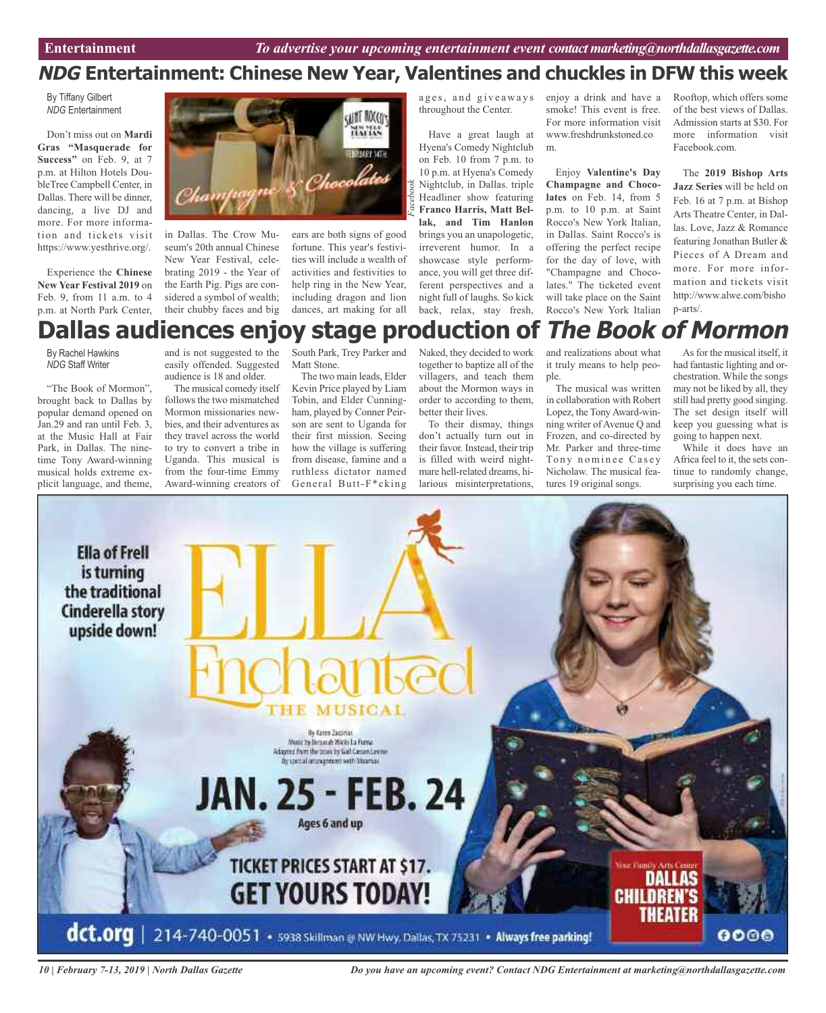### **NDG Entertainment: Chinese New Year, Valentines and chuckles in DFW this week**

By Tiffany Gilbert *NDG* Entertainment

Don't miss out on **Mardi Gras "Masquerade for Success"** on Feb. 9, at 7 p.m. at Hilton Hotels DoubleTree Campbell Center, in Dallas. There will be dinner, dancing, a live DJ and more. For more information and tickets visit https://www.yesthrive.org/.

Experience the **Chinese New Year Festival 2019** on Feb. 9, from 11 a.m. to 4 p.m. at North Park Center,



in Dallas. The Crow Museum's 20th annual Chinese New Year Festival, celebrating 2019 - the Year of the Earth Pig. Pigs are considered a symbol of wealth; their chubby faces and big

ears are both signs of good fortune. This year's festivities will include a wealth of activities and festivities to help ring in the New Year, including dragon and lion dances, art making for all

ages, and giveaways throughout the Center.

Have a great laugh at Hyena's Comedy Nightclub on Feb. 10 from 7 p.m. to 10 p.m. at Hyena's Comedy Nightclub, in Dallas. triple Headliner show featuring **Franco Harris, Matt Bellak, and Tim Hanlon** brings you an unapologetic, irreverent humor. In a showcase style performance, you will get three different perspectives and a night full of laughs. So kick back, relax, stay fresh,

enjoy a drink and have a smoke! This event is free. For more information visit www.freshdrunkstoned.co m.

Enjoy **Valentine's Day Champagne and Chocolates** on Feb. 14, from 5 p.m. to 10 p.m. at Saint Rocco's New York Italian, in Dallas. Saint Rocco's is offering the perfect recipe for the day of love, with "Champagne and Chocolates." The ticketed event will take place on the Saint Rocco's New York Italian

Rooftop, which offers some of the best views of Dallas. Admission starts at \$30. For more information visit Facebook.com.

The **2019 Bishop Arts Jazz Series** will be held on Feb. 16 at 7 p.m. at Bishop Arts Theatre Center, in Dallas. Love, Jazz & Romance featuring Jonathan Butler & Pieces of A Dream and more. For more information and tickets visit http://www.alwe.com/bisho p-arts/.

### **Dallas audiences enjoy stage production of The Book of Mormon**

By Rachel Hawkins *NDG* Staff Writer

"The Book of Mormon", brought back to Dallas by popular demand opened on Jan.29 and ran until Feb. 3, at the Music Hall at Fair Park, in Dallas. The ninetime Tony Award-winning musical holds extreme explicit language, and theme,

and is not suggested to the easily offended. Suggested audience is 18 and older.

The musical comedy itself follows the two mismatched Mormon missionaries newbies, and their adventures as they travel across the world to try to convert a tribe in Uganda. This musical is from the four-time Emmy Award-winning creators of

South Park, Trey Parker and Matt Stone.

The two main leads, Elder Kevin Price played by Liam Tobin, and Elder Cunningham, played by Conner Peirson are sent to Uganda for their first mission. Seeing how the village is suffering from disease, famine and a ruthless dictator named General Butt-F\*cking

Naked, they decided to work together to baptize all of the villagers, and teach them about the Mormon ways in order to according to them, better their lives.

To their dismay, things don't actually turn out in their favor. Instead, their trip is filled with weird nightmare hell-related dreams, hilarious misinterpretations,

and realizations about what it truly means to help people.

The musical was written in collaboration with Robert Lopez, the Tony Award-winning writer of Avenue Q and Frozen, and co-directed by Mr. Parker and three-time Tony nominee Casey Nicholaw. The musical features 19 original songs.

Asfor the musical itself, it had fantastic lighting and orchestration. While the songs may not be liked by all, they still had pretty good singing. The set design itself will keep you guessing what is going to happen next.

While it does have an Africa feel to it, the sets continue to randomly change, surprising you each time.



*10 | February 7-13, 2019 | North Dallas Gazette*

*Do you have an upcoming event? Contact NDG Entertainment at marketing@northdallasgazette.com*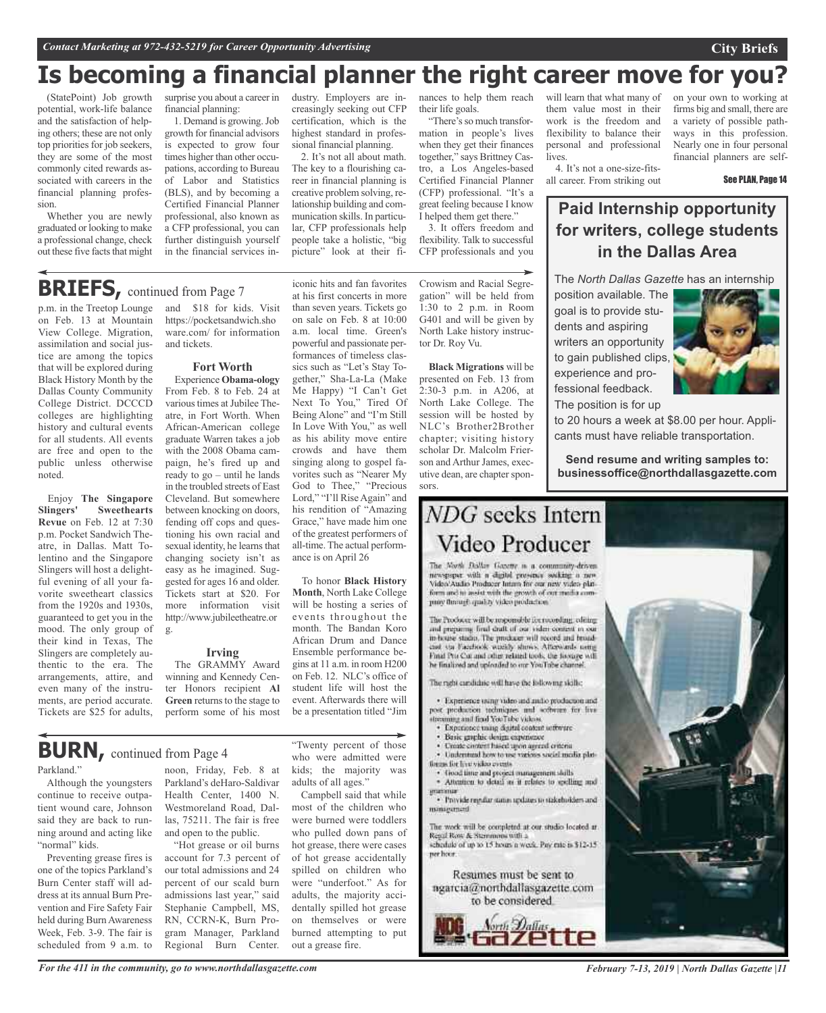### **Is becoming a financial planner the right career move for you?**

(StatePoint) Job growth potential, work-life balance and the satisfaction of helping others; these are not only top priorities for job seekers, they are some of the most commonly cited rewards associated with careers in the financial planning profession.

Whether you are newly graduated or looking to make a professional change, check out these five facts that might

p.m. in the Treetop Lounge on Feb. 13 at Mountain View College. Migration, assimilation and social justice are among the topics that will be explored during Black History Month by the Dallas County Community College District. DCCCD colleges are highlighting history and cultural events for all students. All events are free and open to the public unless otherwise

**BRIEFS**, continued from Page 7

Enjoy **The Singapore**

**Revue** on Feb. 12 at 7:30 p.m. Pocket Sandwich Theatre, in Dallas. Matt Tolentino and the Singapore Slingers will host a delightful evening of all your favorite sweetheart classics from the 1920s and 1930s, guaranteed to get you in the mood. The only group of their kind in Texas, The Slingers are completely authentic to the era. The arrangements, attire, and even many of the instruments, are period accurate. Tickets are \$25 for adults,

**Slingers' Sweethearts**

noted.

surprise you about a career in financial planning:

1. Demand is growing.Job growth for financial advisors is expected to grow four times higher than other occupations, according to Bureau of Labor and Statistics (BLS), and by becoming a Certified Financial Planner professional, also known as a CFP professional, you can further distinguish yourself in the financial services in-

dustry. Employers are increasingly seeking out CFP certification, which is the highest standard in professional financial planning.

2. It's not all about math. The key to a flourishing career in financial planning is creative problem solving, relationship building and communication skills. In particular, CFP professionals help people take a holistic, "big picture" look at their fi-

iconic hits and fan favorites at his first concerts in more than seven years. Tickets go on sale on Feb. 8 at 10:00 a.m. local time. Green's powerful and passionate performances of timeless classics such as "Let's Stay Together," Sha-La-La (Make Me Happy) "I Can't Get Next To You," Tired Of Being Alone" and "I'm Still In Love With You," as well as his ability move entire crowds and have them singing along to gospel favorites such as "Nearer My God to Thee," "Precious Lord," "I'll Rise Again" and his rendition of "Amazing Grace," have made him one of the greatest performers of all-time. The actual perform-

nances to help them reach their life goals.

"There's so much transformation in people's lives when they get their finances together," says Brittney Castro, a Los Angeles-based Certified Financial Planner (CFP) professional. "It's a great feeling because I know I helped them get there."

3. It offers freedom and flexibility. Talk to successful CFP professionals and you

Crowism and Racial Segregation" will be held from 1:30 to 2 p.m. in Room G401 and will be given by North Lake history instructor Dr. Roy Vu.

**Black Migrations** will be presented on Feb. 13 from 2:30-3 p.m. in A206, at North Lake College. The session will be hosted by NLC's Brother2Brother chapter; visiting history scholar Dr. Malcolm Frierson and Arthur James, executive dean, are chapter sponsors.

# NDG seeks Intern

newspaper with a digital presence socking a new Video'Audio Producer Intam for our new video platform and it assist with the growth of out madia company through quality video production.

The Producer will be responsible for recording, editing and preparing fired draft of our video content in our in-house studio. The producer will record and broadcast via Facebook weekly shows. Afterwards using Final Pro Cor and other related tools, the footage will he finalized and uploaded to our YouTube channel.

The right cardidate will have the following skills;

· Experience using video and millio reachangon and post production techniques and software for live treaming and find YouTube videos.

- · Experience using digital content setterine
- 
- · Understand how to use various social media plat-
- 

· Attention to detail as it relates to spelling and

· Provide regular status updates to stakeholders and miniarument

The work will be completed at our studio located at Result Row & Stemmons with a schedule of up to 15 hours a week. Pay rate is \$12-15.

Resumes must be sent to ngarcia@northdallasgazette.com **City Briefs**

on your own to working at firms big and small, there are a variety of possible pathways in this profession. Nearly one in four personal financial planners are self-

See PLAN, Page 14

### **Paid Internship opportunity for writers, college students in the Dallas Area**

The *North Dallas Gazette* has an internship

position available. The goal is to provide students and aspiring writers an opportunity to gain published clips, experience and professional feedback.

The position is for up

will learn that what many of them value most in their work is the freedom and flexibility to balance their personal and professional

4. It's not a one-size-fitsall career. From striking out

lives.



to 20 hours a week at \$8.00 per hour. Applicants must have reliable transportation.

**Send resume and writing samples to: businessoffice@northdallasgazette.com**



- Basic graphic design expensesce
- Create circurs haved upon agreed criteria
- tingas for live video events.
- · Good time and project management skills

per hoor.

to be considered.



Parkland." Although the youngsters **BURN,** continued from Page <sup>4</sup>

continue to receive outpatient wound care, Johnson said they are back to running around and acting like "normal" kids.

Preventing grease fires is one of the topics Parkland's Burn Center staff will address at its annual Burn Prevention and Fire Safety Fair held during Burn Awareness Week, Feb. 3-9. The fair is scheduled from 9 a.m. to and \$18 for kids. Visit https://pocketsandwich.sho ware.com/ for information and tickets.

#### **Fort Worth**

Experience **Obama-ology** From Feb. 8 to Feb. 24 at various times at Jubilee Theatre, in Fort Worth. When African-American college graduate Warren takes a job with the 2008 Obama campaign, he's fired up and ready to go – until he lands in the troubled streets of East Cleveland. But somewhere between knocking on doors, fending off cops and questioning his own racial and sexual identity, he learns that changing society isn't as easy as he imagined. Suggested for ages 16 and older. Tickets start at \$20. For more information visit http://www.jubileetheatre.or g.

### **Irving**

The GRAMMY Award winning and Kennedy Center Honors recipient **Al Green** returns to the stage to perform some of his most

Westmoreland Road, Dallas, 75211. The fair is free and open to the public. "Hot grease or oil burns account for 7.3 percent of our total admissions and 24 percent of our scald burn admissions last year," said Stephanie Campbell, MS, RN, CCRN-K, Burn Program Manager, Parkland Regional Burn Center.

noon, Friday, Feb. 8 at Parkland's deHaro-Saldivar Health Center, 1400 N. "Twenty percent of those who were admitted were kids; the majority was adults of all ages." Campbell said that while

ance is on April 26

To honor **Black History Month**, North Lake College will be hosting a series of events throughout the month. The Bandan Koro African Drum and Dance Ensemble performance begins at 11 a.m. in room H200 on Feb. 12. NLC's office of student life will host the event. Afterwards there will be a presentation titled "Jim

most of the children who were burned were toddlers who pulled down pans of hot grease, there were cases of hot grease accidentally spilled on children who were "underfoot." As for adults, the majority accidentally spilled hot grease on themselves or were burned attempting to put out a grease fire.

*For the 411 in the community, go to www.northdallasgazette.com*

*February 7-13, 2019 | North Dallas Gazette |11*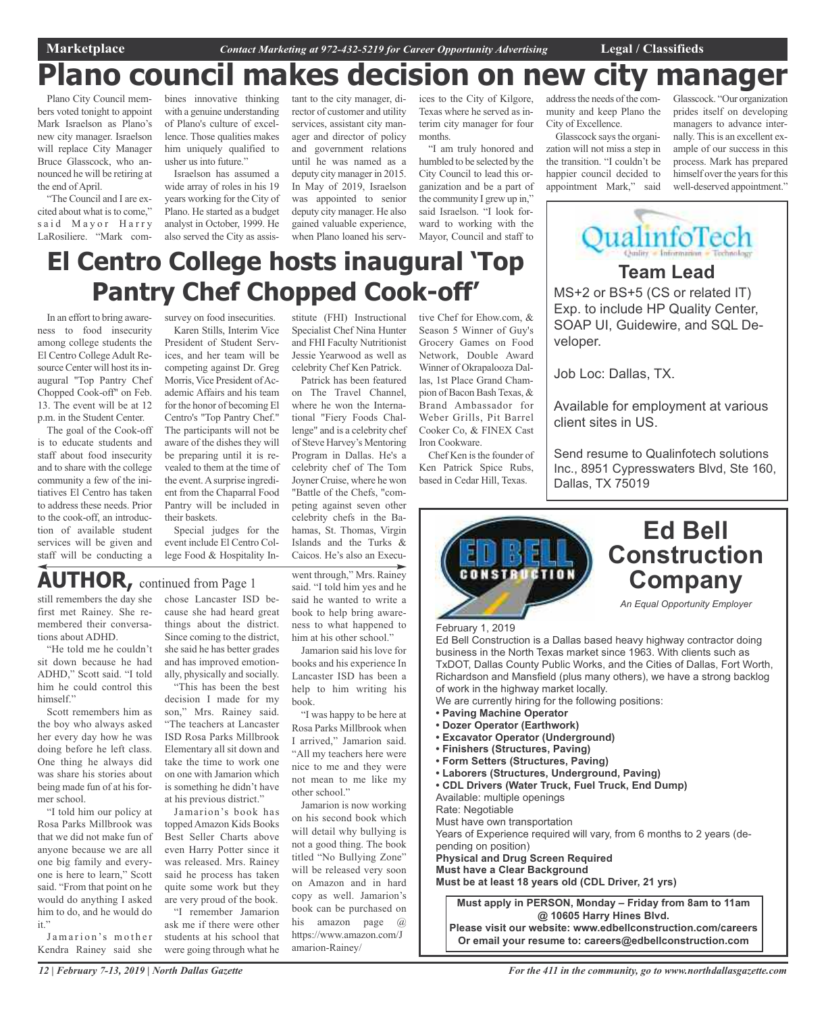**Team Lead**

ualinfoTech

MS+2 or BS+5 (CS or related IT) Exp. to include HP Quality Center, SOAP UI, Guidewire, and SQL De-

Available for employment at various

Send resume to Qualinfotech solutions Inc., 8951 Cypresswaters Blvd, Ste 160,

## **Plano council makes decision on new city manager**

Plano City Council members voted tonight to appoint Mark Israelson as Plano's new city manager. Israelson will replace City Manager Bruce Glasscock, who announced he will be retiring at the end of April.

"The Council and I are excited about what is to come," said Mayor Harry LaRosiliere. "Mark combines innovative thinking with a genuine understanding of Plano's culture of excellence. Those qualities makes him uniquely qualified to usher us into future."

Israelson has assumed a wide array of roles in his 19 years working for the City of Plano. He started as a budget analyst in October, 1999. He also served the City as assistant to the city manager, director of customer and utility services, assistant city manager and director of policy and government relations until he was named as a deputy city manager in 2015. In May of 2019, Israelson was appointed to senior deputy city manager. He also gained valuable experience, when Plano loaned his services to the City of Kilgore, Texas where he served as interim city manager for four months.

"I am truly honored and humbled to be selected by the City Council to lead this organization and be a part of the community I grew up in," said Israelson. "I look forward to working with the Mayor, Council and staff to

address the needs of the community and keep Plano the City of Excellence.

Glasscock says the organization will not miss a step in the transition. "I couldn't be happier council decided to appointment Mark," said

veloper.

Job Loc: Dallas, TX.

client sites in US.

Dallas, TX 75019

Glasscock. "Our organization prides itself on developing managers to advance internally. This is an excellent example of our success in this process. Mark has prepared himself over the years for this well-deserved appointment."

# **El Centro College hosts inaugural 'Top Pantry Chef Chopped Cook-off'**

In an effort to bring awareness to food insecurity among college students the El Centro College Adult Resource Center will host its inaugural "Top Pantry Chef Chopped Cook-off" on Feb. 13. The event will be at 12 p.m. in the Student Center.

The goal of the Cook-off is to educate students and staff about food insecurity and to share with the college community a few of the initiatives El Centro has taken to address these needs. Prior to the cook-off, an introduction of available student services will be given and staff will be conducting a

still remembers the day she first met Rainey. She remembered their conversa-

**AUTHOR,** continued from Page <sup>1</sup>

"He told me he couldn't sit down because he had ADHD," Scott said. "I told him he could control this

Scott remembers him as the boy who always asked her every day how he was doing before he left class. One thing he always did was share his stories about being made fun of at his for-

"I told him our policy at Rosa Parks Millbrook was that we did not make fun of anyone because we are all one big family and everyone is here to learn," Scott said. "From that point on he would do anything I asked him to do, and he would do

Jamarion's mother Kendra Rainey said she

tions about ADHD.

himself."

mer school.

it."

survey on food insecurities. Karen Stills, Interim Vice President of Student Services, and her team will be competing against Dr. Greg Morris, Vice President of Academic Affairs and his team for the honor of becoming El Centro's "Top Pantry Chef." The participants will not be aware of the dishes they will be preparing until it is revealed to them at the time of the event. A surprise ingredient from the Chaparral Food Pantry will be included in their baskets.

Special judges for the event include El Centro College Food & Hospitality In-

chose Lancaster ISD because she had heard great things about the district. Since coming to the district, she said he has better grades and has improved emotionally, physically and socially. "This has been the best decision I made for my son," Mrs. Rainey said. "The teachers at Lancaster ISD Rosa Parks Millbrook Elementary all sit down and take the time to work one on one with Jamarion which is something he didn't have at his previous district." Jamarion's book has topped Amazon Kids Books Best Seller Charts above even Harry Potter since it was released. Mrs. Rainey said he process has taken quite some work but they are very proud of the book. "I remember Jamarion ask me if there were other students at his school that were going through what he

stitute (FHI) Instructional Specialist Chef Nina Hunter and FHI Faculty Nutritionist Jessie Yearwood as well as celebrity Chef Ken Patrick.

Patrick has been featured on The Travel Channel, where he won the International "Fiery Foods Challenge" and is a celebrity chef of Steve Harvey's Mentoring Program in Dallas. He's a celebrity chef of The Tom Joyner Cruise, where he won "Battle of the Chefs, "competing against seven other celebrity chefs in the Bahamas, St. Thomas, Virgin Islands and the Turks & Caicos. He's also an Execu-

went through," Mrs. Rainey said. "I told him yes and he said he wanted to write a book to help bring awareness to what happened to him at his other school."

Jamarion said his love for books and his experience In Lancaster ISD has been a help to him writing his book.

"I was happy to be here at Rosa Parks Millbrook when I arrived," Jamarion said. "All my teachers here were nice to me and they were not mean to me like my other school."

Jamarion is now working on his second book which will detail why bullying is not a good thing. The book titled "No Bullying Zone" will be released very soon on Amazon and in hard copy as well. Jamarion's book can be purchased on his amazon page @ https://www.amazon.com/J amarion-Rainey/

tive Chef for Ehow.com, & Season 5 Winner of Guy's Grocery Games on Food Network, Double Award Winner of Okrapalooza Dallas, 1st Place Grand Champion of Bacon Bash Texas, & Brand Ambassador for Weber Grills, Pit Barrel Cooker Co, & FINEX Cast Iron Cookware.

Chef Ken is the founder of Ken Patrick Spice Rubs, based in Cedar Hill, Texas.



### **Ed Bell Construction Company**

*An Equal Opportunity Employer*

February 1, 2019

Ed Bell Construction is a Dallas based heavy highway contractor doing business in the North Texas market since 1963. With clients such as TxDOT, Dallas County Public Works, and the Cities of Dallas, Fort Worth, Richardson and Mansfield (plus many others), we have a strong backlog of work in the highway market locally.

- We are currently hiring for the following positions:
- **• Paving Machine Operator**
- **• Dozer Operator (Earthwork)**
- **• Excavator Operator (Underground)**
- **• Finishers (Structures, Paving)**
- **• Form Setters (Structures, Paving)**
- **• Laborers (Structures, Underground, Paving)**
- **• CDL Drivers (Water Truck, Fuel Truck, End Dump)** Available: multiple openings

Rate: Negotiable

Must have own transportation

Years of Experience required will vary, from 6 months to 2 years (depending on position)

**Physical and Drug Screen Required**

**Must have a Clear Background**

**Must be at least 18 years old (CDL Driver, 21 yrs)**

**Must apply in PERSON, Monday – Friday from 8am to 11am @ 10605 Harry Hines Blvd. Please visit our website: www.edbellconstruction.com/careers**

**Or email your resume to: careers@edbellconstruction.com**

*12 | February 7-13, 2019 | North Dallas Gazette*

*For the 411 in the community, go to www.northdallasgazette.com*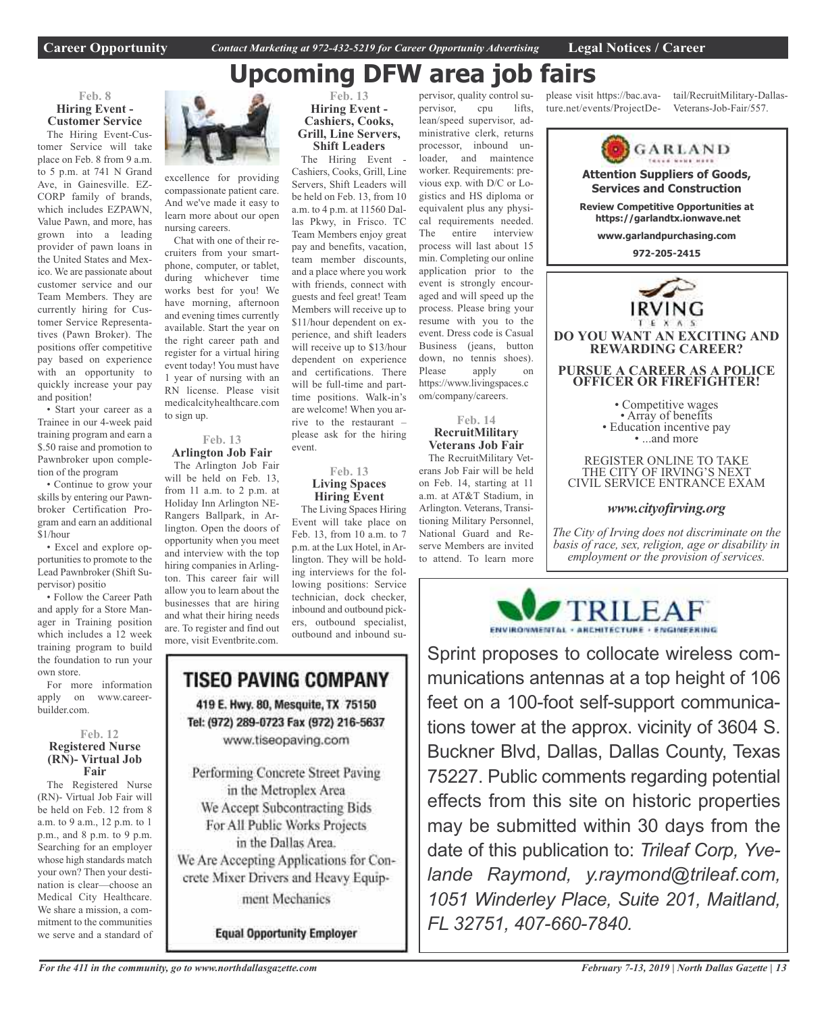# **Upcoming DFW area job fairs**

### **Feb. 8 Hiring Event - Customer Service**

The Hiring Event-Customer Service will take place on Feb. 8 from 9 a.m. to 5 p.m. at 741 N Grand Ave, in Gainesville. EZ-CORP family of brands, which includes EZPAWN, Value Pawn, and more, has grown into a leading provider of pawn loans in the United States and Mexico. We are passionate about customer service and our Team Members. They are currently hiring for Customer Service Representatives (Pawn Broker). The positions offer competitive pay based on experience with an opportunity to quickly increase your pay and position!

• Start your career as a Trainee in our 4-week paid training program and earn a \$.50 raise and promotion to Pawnbroker upon completion of the program

• Continue to grow your skills by entering our Pawnbroker Certification Program and earn an additional \$1/hour

• Excel and explore opportunities to promote to the Lead Pawnbroker (Shift Supervisor) positio

• Follow the Career Path and apply for a Store Manager in Training position which includes a 12 week training program to build the foundation to run your own store.

For more information apply on www.careerbuilder.com.

### **Feb. 12 Registered Nurse (RN)- Virtual Job Fair**

The Registered Nurse (RN)- Virtual Job Fair will be held on Feb. 12 from 8 a.m. to 9 a.m., 12 p.m. to 1 p.m., and 8 p.m. to 9 p.m. Searching for an employer whose high standards match your own? Then your destination is clear—choose an Medical City Healthcare. We share a mission, a commitment to the communities we serve and a standard of



excellence for providing compassionate patient care. And we've made it easy to learn more about our open nursing careers.

Chat with one of their recruiters from your smartphone, computer, or tablet, during whichever time works best for you! We have morning, afternoon and evening times currently available. Start the year on the right career path and register for a virtual hiring event today! You must have 1 year of nursing with an RN license. Please visit medicalcityhealthcare.com to sign up.

### **Feb. 13 Arlington Job Fair**

The Arlington Job Fair will be held on Feb. 13, from 11 a.m. to 2 p.m. at Holiday Inn Arlington NE-Rangers Ballpark, in Arlington. Open the doors of opportunity when you meet and interview with the top hiring companies in Arlington. This career fair will allow you to learn about the businesses that are hiring and what their hiring needs are. To register and find out more, visit Eventbrite.com.



Cashiers, Cooks, Grill, Line Servers, Shift Leaders will be held on Feb. 13, from 10 a.m. to 4 p.m. at 11560 Dallas Pkwy, in Frisco. TC Team Members enjoy great pay and benefits, vacation, team member discounts, and a place where you work with friends, connect with guests and feel great! Team Members will receive up to \$11/hour dependent on experience, and shift leaders will receive up to \$13/hour dependent on experience and certifications. There will be full-time and parttime positions. Walk-in's are welcome! When you arrive to the restaurant – please ask for the hiring

### **Feb. 13 Living Spaces Hiring Event**

event.

The Living Spaces Hiring Event will take place on Feb. 13, from 10 a.m. to 7 p.m. at the Lux Hotel, in Arlington. They will be holding interviews for the following positions: Service technician, dock checker, inbound and outbound pickers, outbound specialist, outbound and inbound su-

### TISEO PAVING COMPANY 419 E. Hwy. 80, Mesquite, TX 75150 Tel: (972) 289-0723 Fax (972) 216-5637 www.tiseopaving.com

Performing Concrete Street Paving in the Metroplex Area We Accept Subcontracting Bids For All Public Works Projects in the Dallas Area. We Are Accepting Applications for Concrete Mixer Drivers and Heavy Equipment Mechanics

**Equal Opportunity Employer** 

The Hiring Event pervisor, quality control supervisor, cpu lifts, lean/speed supervisor, administrative clerk, returns processor, inbound unloader, and maintence worker. Requirements: previous exp. with D/C or Lo-

gistics and HS diploma or equivalent plus any physical requirements needed. The entire interview process will last about 15 min. Completing our online application prior to the event is strongly encouraged and will speed up the process. Please bring your resume with you to the event. Dress code is Casual Business (jeans, button down, no tennis shoes). Please apply on https://www.livingspaces.c

### **Feb. 14 RecruitMilitary Veterans Job Fair**

om/company/careers.

The RecruitMilitary Veterans Job Fair will be held on Feb. 14, starting at 11 a.m. at AT&T Stadium, in Arlington. Veterans, Transitioning Military Personnel, National Guard and Reserve Members are invited to attend. To learn more

please visit https://bac.avature.net/events/ProjectDetail/RecruitMilitary-Dallas-Veterans-Job-Fair/557.



*www.cityofirving.org*

*The City of Irving does not discriminate on the basis of race, sex, religion, age or disability in employment or the provision of services.*



Sprint proposes to collocate wireless communications antennas at a top height of 106 feet on a 100-foot self-support communications tower at the approx. vicinity of 3604 S. Buckner Blvd, Dallas, Dallas County, Texas 75227. Public comments regarding potential effects from this site on historic properties may be submitted within 30 days from the date of this publication to: *Trileaf Corp, Yvelande Raymond, y.raymond@trileaf.com, 1051 Winderley Place, Suite 201, Maitland, FL 32751, 407-660-7840.*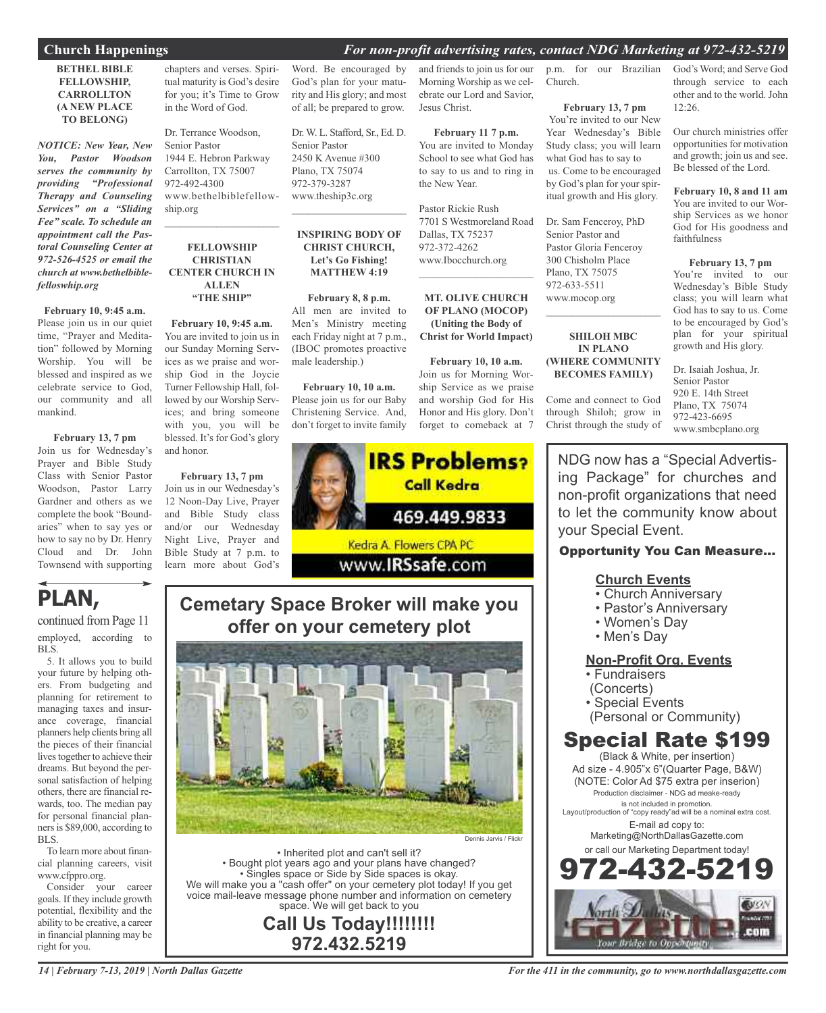### **Church Happenings** *For non-profit advertising rates, contact NDG Marketing at 972-432-5219*

### **BETHEL BIBLE FELLOWSHIP, CARROLLTON (A NEW PLACE TO BELONG)**

*NOTICE: New Year, New You, Pastor Woodson serves the community by providing "Professional Therapy and Counseling Services" on a "Sliding Fee" scale. To schedule an appointment call the Pastoral Counseling Center at 972-526-4525 or email the church at www.bethelbiblefelloswhip.org*

### **February 10, 9:45 a.m.**

Please join us in our quiet time, "Prayer and Meditation" followed by Morning Worship. You will be blessed and inspired as we celebrate service to God, our community and all mankind.

### **February 13, 7 pm**

Join us for Wednesday's Prayer and Bible Study Class with Senior Pastor Woodson, Pastor Larry Gardner and others as we complete the book "Boundaries" when to say yes or how to say no by Dr. Henry Cloud and Dr. John Townsend with supporting

### **PLAN,**

continued from Page 11 employed, according to BLS.

5. It allows you to build your future by helping others. From budgeting and planning for retirement to managing taxes and insurance coverage, financial planners help clients bring all the pieces of their financial lives together to achieve their dreams. But beyond the personal satisfaction of helping others, there are financial rewards, too. The median pay for personal financial plannersis \$89,000, according to BLS.

To learn more about financial planning careers, visit www.cfppro.org.

Consider your career goals. If they include growth potential, flexibility and the ability to be creative, a career in financial planning may be right for you.

chapters and verses. Spiritual maturity is God's desire for you; it's Time to Grow in the Word of God.

Dr. Terrance Woodson, Senior Pastor 1944 E. Hebron Parkway Carrollton, TX 75007 972-492-4300 www.bethelbiblefellowship.org

 $\overline{\phantom{a}}$  , and the set of the set of the set of the set of the set of the set of the set of the set of the set of the set of the set of the set of the set of the set of the set of the set of the set of the set of the s

### **FELLOWSHIP CHRISTIAN CENTER CHURCH IN ALLEN "THE SHIP"**

**February 10, 9:45 a.m.** You are invited to join us in our Sunday Morning Services as we praise and worship God in the Joycie Turner Fellowship Hall, followed by our Worship Services; and bring someone with you, you will be blessed. It's for God's glory and honor.

**February 13, 7 pm** Join us in our Wednesday's 12 Noon-Day Live, Prayer and Bible Study class and/or our Wednesday Night Live, Prayer and Bible Study at 7 p.m. to learn more about God's Word. Be encouraged by God's plan for your maturity and His glory; and most of all; be prepared to grow.

Dr. W. L. Stafford, Sr., Ed. D. Senior Pastor 2450 K Avenue #300 Plano, TX 75074 972-379-3287 www.theship3c.org

### **INSPIRING BODY OF CHRIST CHURCH, Let's Go Fishing! MATTHEW 4:19**

 $\overline{\phantom{a}}$  , and the set of the set of the set of the set of the set of the set of the set of the set of the set of the set of the set of the set of the set of the set of the set of the set of the set of the set of the s

**February 8, 8 p.m.** All men are invited to Men's Ministry meeting each Friday night at 7 p.m., (IBOC promotes proactive male leadership.)

**February 10, 10 a.m.** Please join us for our Baby Christening Service. And, don't forget to invite family



### **Cemetary Space Broker will make you offer on your cemetery plot**



• Inherited plot and can't sell it? • Bought plot years ago and your plans have changed? • Singles space or Side by Side spaces is okay. We will make you a "cash offer" on your cemetery plot today! If you get voice mail-leave message phone number and information on cemetery space. We will get back to you

**Call Us Today!!!!!!!! 972.432.5219**

and friends to join us for our p.m. for our Brazilian God's Word; and Serve God Morning Worship as we cel-Church.

ebrate our Lord and Savior,

**February 11 7 p.m.** You are invited to Monday School to see what God has to say to us and to ring in

7701 S Westmoreland Road

**MT. OLIVE CHURCH OF PLANO (MOCOP) (Uniting the Body of Christ for World Impact)**

**February 10, 10 a.m.** Join us for Morning Worship Service as we praise and worship God for His Honor and His glory. Don't forget to comeback at 7

Jesus Christ.

the New Year.

Pastor Rickie Rush

Dallas, TX 75237 972-372-4262 www.Ibocchurch.org  $\mathcal{L}=\mathcal{L}^{\mathcal{L}}$  , where  $\mathcal{L}^{\mathcal{L}}$  , we have the set of the set of the set of the set of the set of the set of the set of the set of the set of the set of the set of the set of the set of the set of the set of

### **February 13, 7 pm** You're invited to our New Year Wednesday's Bible Study class; you will learn what God has to say to us. Come to be encouraged by God's plan for your spir-

itual growth and His glory.

Dr. Sam Fenceroy, PhD Senior Pastor and Pastor Gloria Fenceroy 300 Chisholm Place Plano, TX 75075 972-633-5511 www.mocop.org

### **SHILOH MBC IN PLANO (WHERE COMMUNITY BECOMES FAMILY)**

 $\mathcal{L}_\text{max}$  , which is a set of the set of the set of the set of the set of the set of the set of the set of the set of the set of the set of the set of the set of the set of the set of the set of the set of the set of

Come and connect to God through Shiloh; grow in Christ through the study of

through service to each other and to the world. John 12:26.

Our church ministries offer opportunities for motivation and growth; join us and see. Be blessed of the Lord.

**February 10, 8 and 11 am** You are invited to our Worship Services as we honor God for His goodness and faithfulness

### **February 13, 7 pm**

You're invited to our Wednesday's Bible Study class; you will learn what God has to say to us. Come to be encouraged by God's plan for your spiritual growth and His glory.

Dr. Isaiah Joshua, Jr. Senior Pastor 920 E. 14th Street Plano, TX 75074 972-423-6695 www.smbcplano.org

NDG now has a "Special Advertising Package" for churches and non-profit organizations that need to let the community know about your Special Event.

### Opportunity You Can Measure...

### **Church Events**

- Church Anniversary
- Pastor's Anniversary
- Women's Day
- Men's Day

### **Non-Profit Org. Events**

- Fundraisers
- (Concerts)
- Special Events
- (Personal or Community)

### Special Rate \$199

(Black & White, per insertion) Ad size - 4.905"x 6"(Quarter Page, B&W) (NOTE: Color Ad \$75 extra per inserion) Production disclaimer - NDG ad meake-ready is not included in promotion. Layout/production of "copy ready"ad will be a nominal extra cost. E-mail ad copy to: Marketing@NorthDallasGazette.com or call our Marketing Department today!

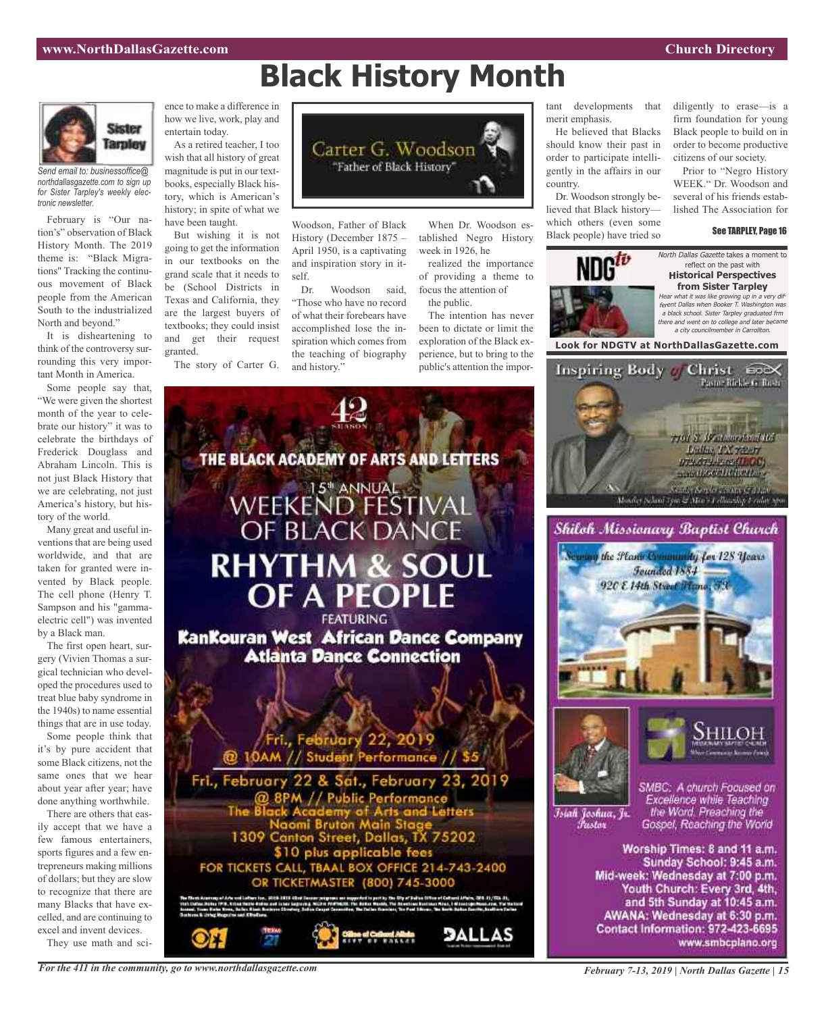# **Black History Month**



*Send email to: businessoffice@ northdallasgazette.com to sign up for Sister Tarpley's weekly electronic newsletter.*

February is "Our nation's" observation of Black History Month. The 2019 theme is: "Black Migrations" Tracking the continuous movement of Black people from the American South to the industrialized North and beyond."

It is disheartening to think of the controversy surrounding this very important Month in America.

Some people say that, "We were given the shortest month of the year to celebrate our history" it was to celebrate the birthdays of Frederick Douglass and Abraham Lincoln. This is not just Black History that we are celebrating, not just America's history, but history of the world.

Many great and useful inventions that are being used worldwide, and that are taken for granted were invented by Black people. The cell phone (Henry T. Sampson and his "gammaelectric cell") was invented by a Black man.

The first open heart, surgery (Vivien Thomas a surgical technician who developed the procedures used to treat blue baby syndrome in the 1940s) to name essential things that are in use today.

Some people think that it's by pure accident that some Black citizens, not the same ones that we hear about year after year; have done anything worthwhile.

There are others that easily accept that we have a few famous entertainers, sports figures and a few entrepreneurs making millions of dollars; but they are slow to recognize that there are many Blacks that have excelled, and are continuing to excel and invent devices.

They use math and sci-

ence to make a difference in how we live, work, play and entertain today.

As a retired teacher, I too wish that all history of great magnitude is put in our textbooks, especially Black history, which is American's history; in spite of what we have been taught.

But wishing it is not going to get the information in our textbooks on the grand scale that it needs to be (School Districts in Texas and California, they are the largest buyers of textbooks; they could insist and get their request granted.

The story of Carter G.



Woodson, Father of Black History (December 1875 – April 1950, is a captivating and inspiration story in itself.

Dr. Woodson said, "Those who have no record of what their forebears have accomplished lose the inspiration which comes from the teaching of biography and history."

THE BLACK ACADEMY OF ARTS AND LETTERS

When Dr. Woodson established Negro History week in 1926, he

realized the importance of providing a theme to focus the attention of

the public. The intention has never been to dictate or limit the exploration of the Black experience, but to bring to the public's attention the impor-

**DALLAS** 

tant developments that merit emphasis.

He believed that Blacks should know their past in order to participate intelligently in the affairs in our country.

Dr. Woodson strongly believed that Black history which others (even some Black people) have tried so

diligently to erase—is a firm foundation for young Black people to build on in order to become productive citizens of our society.

Prior to "Negro History WEEK." Dr. Woodson and several of his friends established The Association for

#### See TARPLEY, Page 16



reflect on the past with **Historical Perspectives from Sister Tarpley** Hear what it was like growing up in <sup>a</sup> very different Dallas when Booker T. Washington was <sup>a</sup> black school. Sister Tarpley graduated frm there and went on to college and later became

<sup>a</sup> city councilmember in Carrollton.











Istali Joshua, Jr. *Pastar* 

SMBC: A church Focused on Excellence while Teaching the Word. Preaching the Gospel, Reaching the World

Worship Times: 8 and 11 a.m. Sunday School: 9:45 a.m. Mid-week: Wednesday at 7:00 p.m. Youth Church: Every 3rd, 4th, and 5th Sunday at 10:45 a.m. AWANA: Wednesday at 6:30 p.m. Contact Information: 972-423-6695 www.smbcplano.org